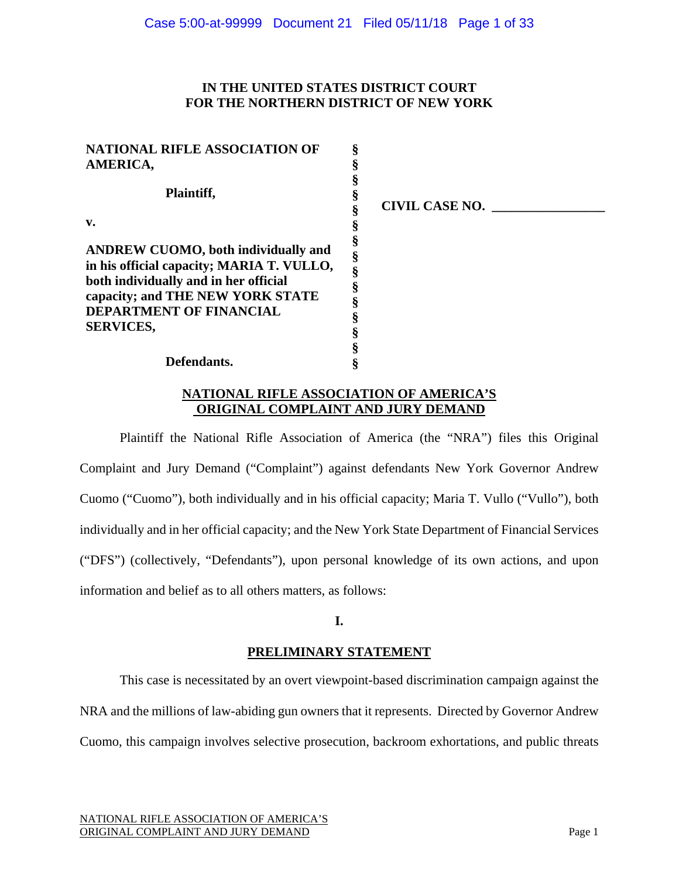## **IN THE UNITED STATES DISTRICT COURT FOR THE NORTHERN DISTRICT OF NEW YORK**

| <b>NATIONAL RIFLE ASSOCIATION OF</b>                                                                                                                                                                                       |                       |
|----------------------------------------------------------------------------------------------------------------------------------------------------------------------------------------------------------------------------|-----------------------|
| AMERICA,                                                                                                                                                                                                                   |                       |
| Plaintiff,                                                                                                                                                                                                                 | <b>CIVIL CASE NO.</b> |
| v.                                                                                                                                                                                                                         |                       |
| <b>ANDREW CUOMO, both individually and</b><br>in his official capacity; MARIA T. VULLO,<br>both individually and in her official<br>capacity; and THE NEW YORK STATE<br><b>DEPARTMENT OF FINANCIAL</b><br><b>SERVICES,</b> |                       |
| Defendants.                                                                                                                                                                                                                |                       |

## **NATIONAL RIFLE ASSOCIATION OF AMERICA'S ORIGINAL COMPLAINT AND JURY DEMAND**

Plaintiff the National Rifle Association of America (the "NRA") files this Original Complaint and Jury Demand ("Complaint") against defendants New York Governor Andrew Cuomo ("Cuomo"), both individually and in his official capacity; Maria T. Vullo ("Vullo"), both individually and in her official capacity; and the New York State Department of Financial Services ("DFS") (collectively, "Defendants"), upon personal knowledge of its own actions, and upon information and belief as to all others matters, as follows:

## **I.**

# **PRELIMINARY STATEMENT**

This case is necessitated by an overt viewpoint-based discrimination campaign against the NRA and the millions of law-abiding gun owners that it represents. Directed by Governor Andrew Cuomo, this campaign involves selective prosecution, backroom exhortations, and public threats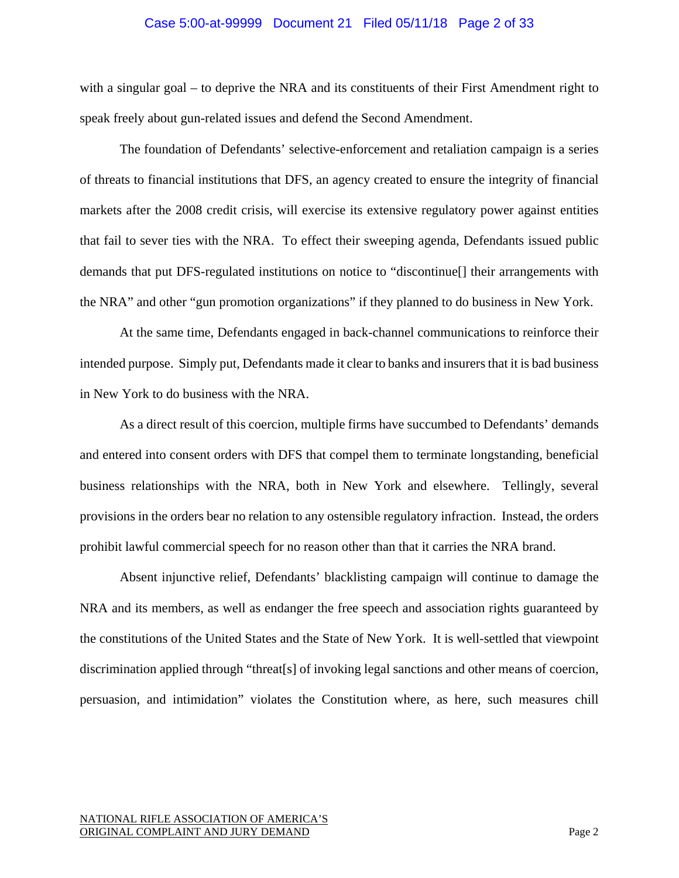#### Case 5:00-at-99999 Document 21 Filed 05/11/18 Page 2 of 33

with a singular goal – to deprive the NRA and its constituents of their First Amendment right to speak freely about gun-related issues and defend the Second Amendment.

The foundation of Defendants' selective-enforcement and retaliation campaign is a series of threats to financial institutions that DFS, an agency created to ensure the integrity of financial markets after the 2008 credit crisis, will exercise its extensive regulatory power against entities that fail to sever ties with the NRA. To effect their sweeping agenda, Defendants issued public demands that put DFS-regulated institutions on notice to "discontinue[] their arrangements with the NRA" and other "gun promotion organizations" if they planned to do business in New York.

At the same time, Defendants engaged in back-channel communications to reinforce their intended purpose. Simply put, Defendants made it clear to banks and insurers that it is bad business in New York to do business with the NRA.

As a direct result of this coercion, multiple firms have succumbed to Defendants' demands and entered into consent orders with DFS that compel them to terminate longstanding, beneficial business relationships with the NRA, both in New York and elsewhere. Tellingly, several provisions in the orders bear no relation to any ostensible regulatory infraction. Instead, the orders prohibit lawful commercial speech for no reason other than that it carries the NRA brand.

Absent injunctive relief, Defendants' blacklisting campaign will continue to damage the NRA and its members, as well as endanger the free speech and association rights guaranteed by the constitutions of the United States and the State of New York. It is well-settled that viewpoint discrimination applied through "threat[s] of invoking legal sanctions and other means of coercion, persuasion, and intimidation" violates the Constitution where, as here, such measures chill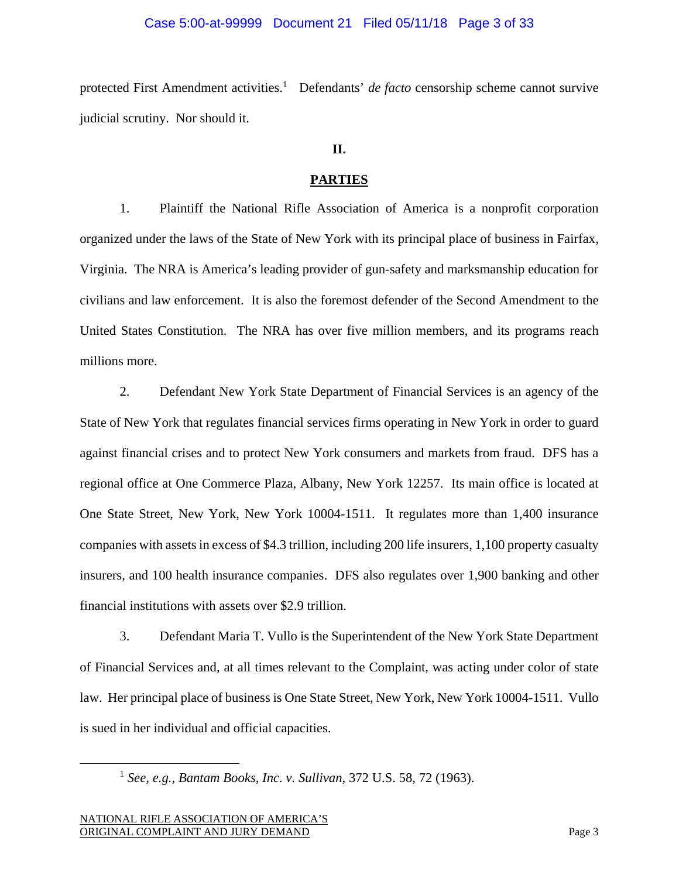#### Case 5:00-at-99999 Document 21 Filed 05/11/18 Page 3 of 33

protected First Amendment activities.<sup>1</sup> Defendants' *de facto* censorship scheme cannot survive judicial scrutiny. Nor should it.

### **II.**

#### **PARTIES**

1. Plaintiff the National Rifle Association of America is a nonprofit corporation organized under the laws of the State of New York with its principal place of business in Fairfax, Virginia. The NRA is America's leading provider of gun-safety and marksmanship education for civilians and law enforcement. It is also the foremost defender of the Second Amendment to the United States Constitution.The NRA has over five million members, and its programs reach millions more.

2. Defendant New York State Department of Financial Services is an agency of the State of New York that regulates financial services firms operating in New York in order to guard against financial crises and to protect New York consumers and markets from fraud. DFS has a regional office at One Commerce Plaza, Albany, New York 12257. Its main office is located at One State Street, New York, New York 10004-1511. It regulates more than 1,400 insurance companies with assets in excess of \$4.3 trillion, including 200 life insurers, 1,100 property casualty insurers, and 100 health insurance companies. DFS also regulates over 1,900 banking and other financial institutions with assets over \$2.9 trillion.

3. Defendant Maria T. Vullo is the Superintendent of the New York State Department of Financial Services and, at all times relevant to the Complaint, was acting under color of state law. Her principal place of business is One State Street, New York, New York 10004-1511. Vullo is sued in her individual and official capacities.

 <sup>1</sup> *See, e.g.*, *Bantam Books, Inc. v. Sullivan*, 372 U.S. 58, 72 (1963).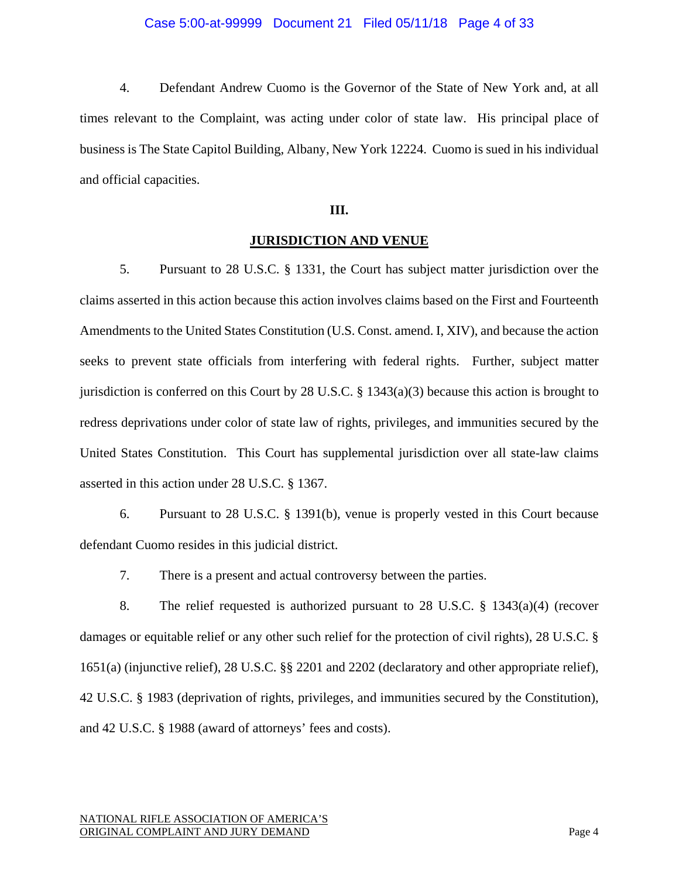#### Case 5:00-at-99999 Document 21 Filed 05/11/18 Page 4 of 33

4. Defendant Andrew Cuomo is the Governor of the State of New York and, at all times relevant to the Complaint, was acting under color of state law. His principal place of business is The State Capitol Building, Albany, New York 12224. Cuomo is sued in his individual and official capacities.

## **III.**

#### **JURISDICTION AND VENUE**

5. Pursuant to 28 U.S.C. § 1331, the Court has subject matter jurisdiction over the claims asserted in this action because this action involves claims based on the First and Fourteenth Amendments to the United States Constitution (U.S. Const. amend. I, XIV), and because the action seeks to prevent state officials from interfering with federal rights. Further, subject matter jurisdiction is conferred on this Court by 28 U.S.C. § 1343(a)(3) because this action is brought to redress deprivations under color of state law of rights, privileges, and immunities secured by the United States Constitution. This Court has supplemental jurisdiction over all state-law claims asserted in this action under 28 U.S.C. § 1367.

6. Pursuant to 28 U.S.C. § 1391(b), venue is properly vested in this Court because defendant Cuomo resides in this judicial district.

7. There is a present and actual controversy between the parties.

8. The relief requested is authorized pursuant to 28 U.S.C. § 1343(a)(4) (recover damages or equitable relief or any other such relief for the protection of civil rights), 28 U.S.C. § 1651(a) (injunctive relief), 28 U.S.C. §§ 2201 and 2202 (declaratory and other appropriate relief), 42 U.S.C. § 1983 (deprivation of rights, privileges, and immunities secured by the Constitution), and 42 U.S.C. § 1988 (award of attorneys' fees and costs).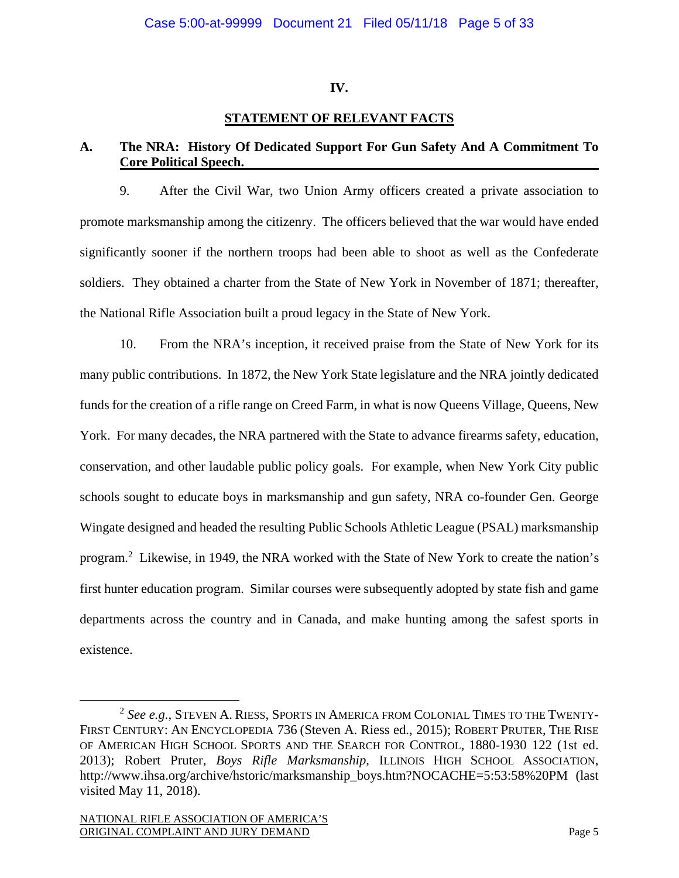## **IV.**

# **STATEMENT OF RELEVANT FACTS**

# **A. The NRA: History Of Dedicated Support For Gun Safety And A Commitment To Core Political Speech.**

9. After the Civil War, two Union Army officers created a private association to promote marksmanship among the citizenry. The officers believed that the war would have ended significantly sooner if the northern troops had been able to shoot as well as the Confederate soldiers. They obtained a charter from the State of New York in November of 1871; thereafter, the National Rifle Association built a proud legacy in the State of New York.

10. From the NRA's inception, it received praise from the State of New York for its many public contributions. In 1872, the New York State legislature and the NRA jointly dedicated funds for the creation of a rifle range on Creed Farm, in what is now Queens Village, Queens, New York. For many decades, the NRA partnered with the State to advance firearms safety, education, conservation, and other laudable public policy goals. For example, when New York City public schools sought to educate boys in marksmanship and gun safety, NRA co-founder Gen. George Wingate designed and headed the resulting Public Schools Athletic League (PSAL) marksmanship program.<sup>2</sup> Likewise, in 1949, the NRA worked with the State of New York to create the nation's first hunter education program. Similar courses were subsequently adopted by state fish and game departments across the country and in Canada, and make hunting among the safest sports in existence.

 <sup>2</sup> *See e.g.*, STEVEN A. RIESS, SPORTS IN AMERICA FROM COLONIAL TIMES TO THE TWENTY-FIRST CENTURY: AN ENCYCLOPEDIA 736 (Steven A. Riess ed., 2015); ROBERT PRUTER, THE RISE OF AMERICAN HIGH SCHOOL SPORTS AND THE SEARCH FOR CONTROL, 1880-1930 122 (1st ed. 2013); Robert Pruter, *Boys Rifle Marksmanship*, ILLINOIS HIGH SCHOOL ASSOCIATION, http://www.ihsa.org/archive/hstoric/marksmanship\_boys.htm?NOCACHE=5:53:58%20PM (last visited May 11, 2018).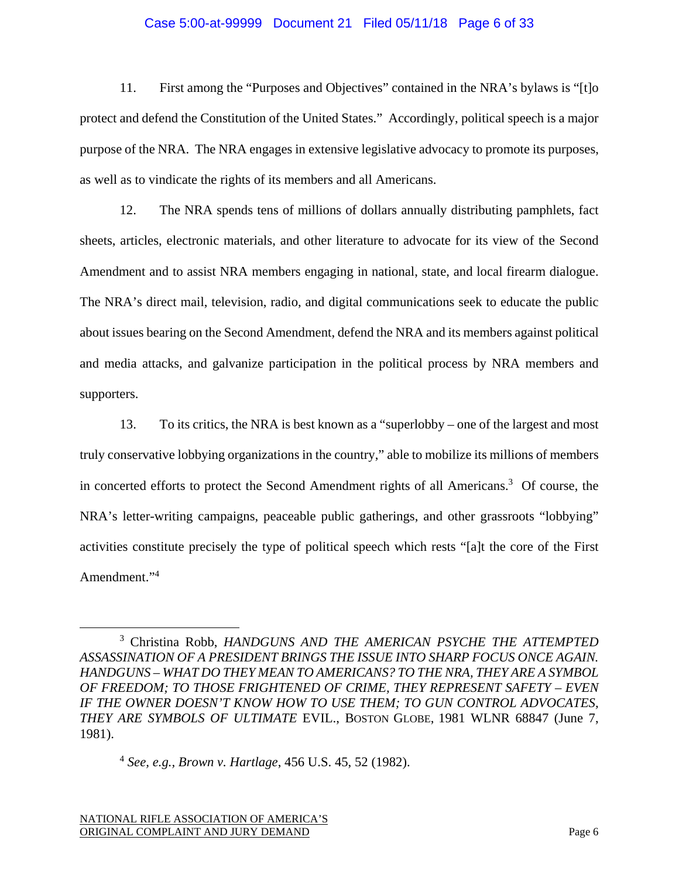### Case 5:00-at-99999 Document 21 Filed 05/11/18 Page 6 of 33

11. First among the "Purposes and Objectives" contained in the NRA's bylaws is "[t]o protect and defend the Constitution of the United States." Accordingly, political speech is a major purpose of the NRA. The NRA engages in extensive legislative advocacy to promote its purposes, as well as to vindicate the rights of its members and all Americans.

12. The NRA spends tens of millions of dollars annually distributing pamphlets, fact sheets, articles, electronic materials, and other literature to advocate for its view of the Second Amendment and to assist NRA members engaging in national, state, and local firearm dialogue. The NRA's direct mail, television, radio, and digital communications seek to educate the public about issues bearing on the Second Amendment, defend the NRA and its members against political and media attacks, and galvanize participation in the political process by NRA members and supporters.

13. To its critics, the NRA is best known as a "superlobby – one of the largest and most truly conservative lobbying organizations in the country," able to mobilize its millions of members in concerted efforts to protect the Second Amendment rights of all Americans.<sup>3</sup> Of course, the NRA's letter-writing campaigns, peaceable public gatherings, and other grassroots "lobbying" activities constitute precisely the type of political speech which rests "[a]t the core of the First Amendment."<sup>4</sup>

 $\overline{\phantom{a}}$  3 Christina Robb, *HANDGUNS AND THE AMERICAN PSYCHE THE ATTEMPTED ASSASSINATION OF A PRESIDENT BRINGS THE ISSUE INTO SHARP FOCUS ONCE AGAIN. HANDGUNS – WHAT DO THEY MEAN TO AMERICANS? TO THE NRA, THEY ARE A SYMBOL OF FREEDOM; TO THOSE FRIGHTENED OF CRIME, THEY REPRESENT SAFETY – EVEN IF THE OWNER DOESN'T KNOW HOW TO USE THEM; TO GUN CONTROL ADVOCATES, THEY ARE SYMBOLS OF ULTIMATE* EVIL., BOSTON GLOBE, 1981 WLNR 68847 (June 7, 1981).

<sup>4</sup> *See, e.g., Brown v. Hartlage*, 456 U.S. 45, 52 (1982).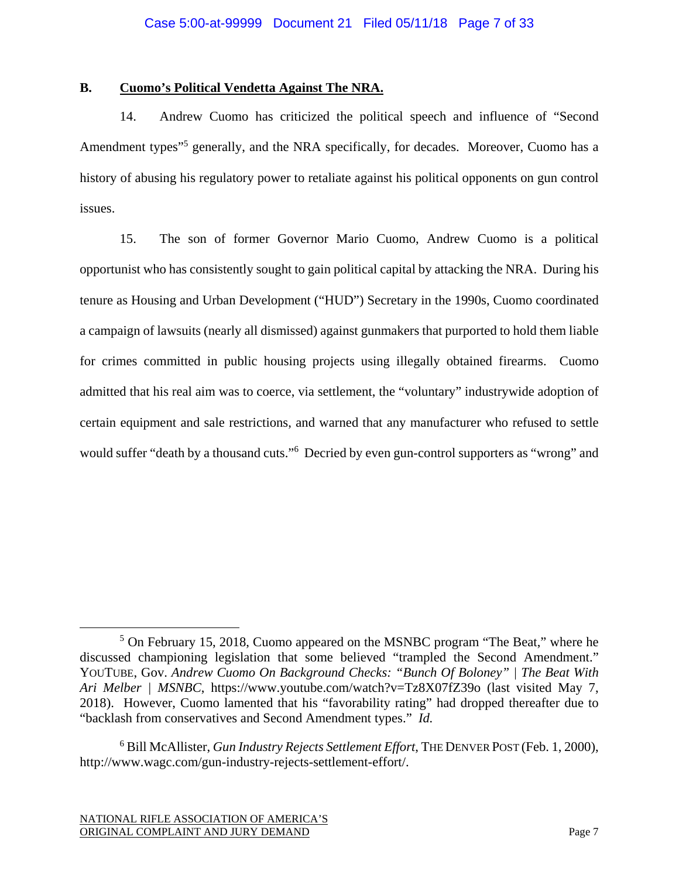## **B. Cuomo's Political Vendetta Against The NRA.**

14. Andrew Cuomo has criticized the political speech and influence of "Second Amendment types"<sup>5</sup> generally, and the NRA specifically, for decades. Moreover, Cuomo has a history of abusing his regulatory power to retaliate against his political opponents on gun control issues.

15. The son of former Governor Mario Cuomo, Andrew Cuomo is a political opportunist who has consistently sought to gain political capital by attacking the NRA. During his tenure as Housing and Urban Development ("HUD") Secretary in the 1990s, Cuomo coordinated a campaign of lawsuits (nearly all dismissed) against gunmakers that purported to hold them liable for crimes committed in public housing projects using illegally obtained firearms. Cuomo admitted that his real aim was to coerce, via settlement, the "voluntary" industrywide adoption of certain equipment and sale restrictions, and warned that any manufacturer who refused to settle would suffer "death by a thousand cuts."6 Decried by even gun-control supporters as "wrong" and

 $\frac{1}{5}$  $5$  On February 15, 2018, Cuomo appeared on the MSNBC program "The Beat," where he discussed championing legislation that some believed "trampled the Second Amendment." YOUTUBE, Gov. *Andrew Cuomo On Background Checks: "Bunch Of Boloney" | The Beat With Ari Melber | MSNBC*, https://www.youtube.com/watch?v=Tz8X07fZ39o (last visited May 7, 2018). However, Cuomo lamented that his "favorability rating" had dropped thereafter due to "backlash from conservatives and Second Amendment types." *Id.*

<sup>6</sup> Bill McAllister, *Gun Industry Rejects Settlement Effort*, THE DENVER POST (Feb. 1, 2000), http://www.wagc.com/gun-industry-rejects-settlement-effort/.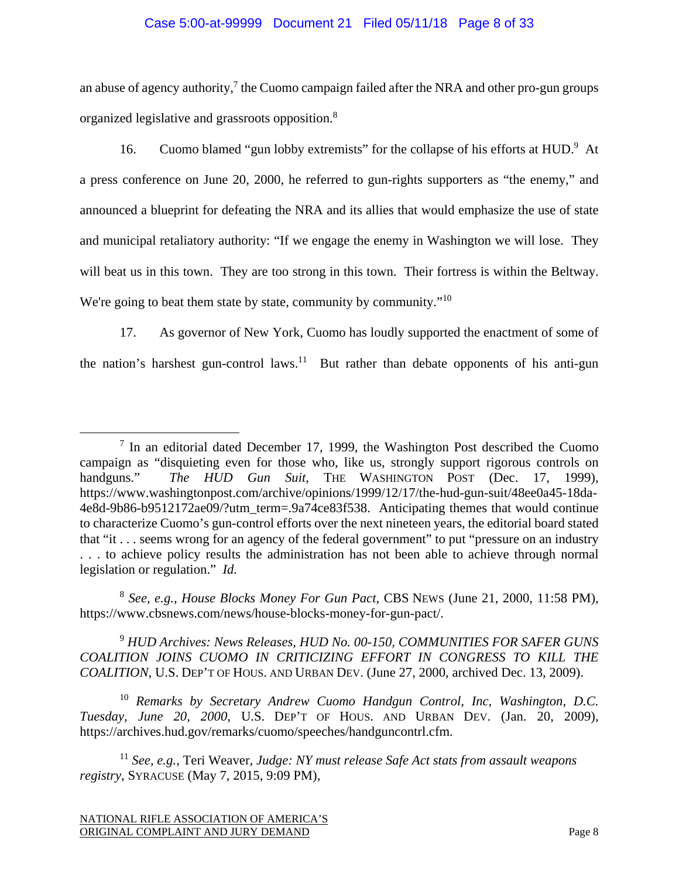### Case 5:00-at-99999 Document 21 Filed 05/11/18 Page 8 of 33

an abuse of agency authority, $\frac{7}{1}$  the Cuomo campaign failed after the NRA and other pro-gun groups organized legislative and grassroots opposition.8

16. Cuomo blamed "gun lobby extremists" for the collapse of his efforts at HUD.<sup>9</sup> At a press conference on June 20, 2000, he referred to gun-rights supporters as "the enemy," and announced a blueprint for defeating the NRA and its allies that would emphasize the use of state and municipal retaliatory authority: "If we engage the enemy in Washington we will lose. They will beat us in this town. They are too strong in this town. Their fortress is within the Beltway. We're going to beat them state by state, community by community."<sup>10</sup>

17. As governor of New York, Cuomo has loudly supported the enactment of some of the nation's harshest gun-control laws.<sup>11</sup> But rather than debate opponents of his anti-gun

<sup>8</sup> *See, e.g.*, *House Blocks Money For Gun Pact*, CBS NEWS (June 21, 2000, 11:58 PM), https://www.cbsnews.com/news/house-blocks-money-for-gun-pact/.

<sup>9</sup> *HUD Archives: News Releases, HUD No. 00-150, COMMUNITIES FOR SAFER GUNS COALITION JOINS CUOMO IN CRITICIZING EFFORT IN CONGRESS TO KILL THE COALITION*, U.S. DEP'T OF HOUS. AND URBAN DEV. (June 27, 2000, archived Dec. 13, 2009).

<sup>10</sup> *Remarks by Secretary Andrew Cuomo Handgun Control, Inc, Washington, D.C. Tuesday, June 20, 2000*, U.S. DEP'T OF HOUS. AND URBAN DEV. (Jan. 20, 2009), https://archives.hud.gov/remarks/cuomo/speeches/handguncontrl.cfm.

<sup>11</sup> *See, e.g.*, Teri Weaver, *Judge: NY must release Safe Act stats from assault weapons registry*, SYRACUSE (May 7, 2015, 9:09 PM),

 <sup>7</sup>  $<sup>7</sup>$  In an editorial dated December 17, 1999, the Washington Post described the Cuomo</sup> campaign as "disquieting even for those who, like us, strongly support rigorous controls on handguns." *The HUD Gun Suit*, THE WASHINGTON POST (Dec. 17, 1999), https://www.washingtonpost.com/archive/opinions/1999/12/17/the-hud-gun-suit/48ee0a45-18da-4e8d-9b86-b9512172ae09/?utm\_term=.9a74ce83f538. Anticipating themes that would continue to characterize Cuomo's gun-control efforts over the next nineteen years, the editorial board stated that "it . . . seems wrong for an agency of the federal government" to put "pressure on an industry . . . to achieve policy results the administration has not been able to achieve through normal legislation or regulation." *Id.*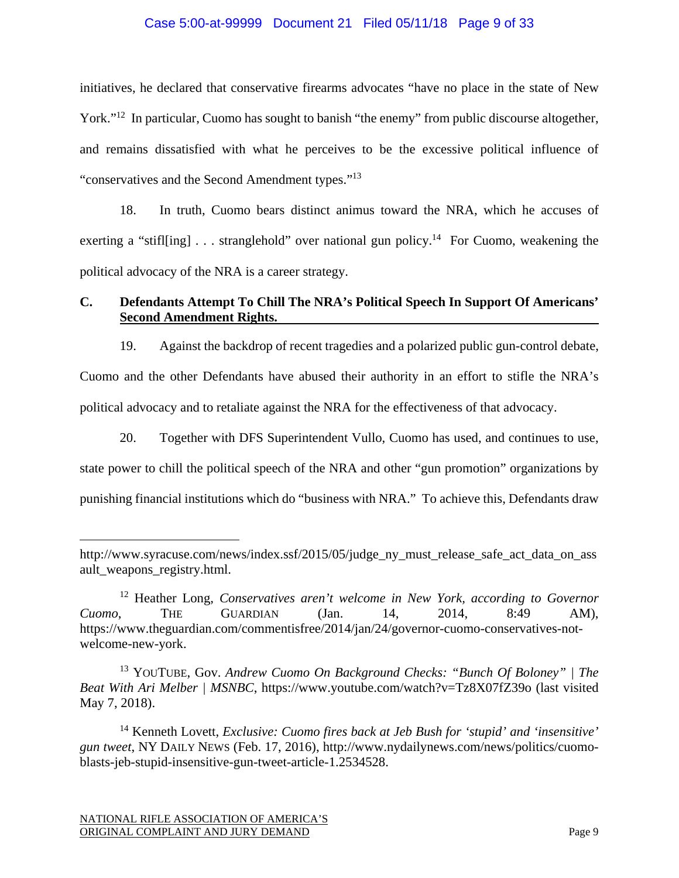### Case 5:00-at-99999 Document 21 Filed 05/11/18 Page 9 of 33

initiatives, he declared that conservative firearms advocates "have no place in the state of New York."<sup>12</sup> In particular, Cuomo has sought to banish "the enemy" from public discourse altogether, and remains dissatisfied with what he perceives to be the excessive political influence of "conservatives and the Second Amendment types."13

18. In truth, Cuomo bears distinct animus toward the NRA, which he accuses of exerting a "stifl[ing] . . . stranglehold" over national gun policy.<sup>14</sup> For Cuomo, weakening the political advocacy of the NRA is a career strategy.

# **C. Defendants Attempt To Chill The NRA's Political Speech In Support Of Americans' Second Amendment Rights.**

19. Against the backdrop of recent tragedies and a polarized public gun-control debate, Cuomo and the other Defendants have abused their authority in an effort to stifle the NRA's political advocacy and to retaliate against the NRA for the effectiveness of that advocacy.

20. Together with DFS Superintendent Vullo, Cuomo has used, and continues to use, state power to chill the political speech of the NRA and other "gun promotion" organizations by punishing financial institutions which do "business with NRA." To achieve this, Defendants draw

 $\overline{a}$ 

http://www.syracuse.com/news/index.ssf/2015/05/judge\_ny\_must\_release\_safe\_act\_data\_on\_ass ault\_weapons\_registry.html.

<sup>12</sup> Heather Long, *Conservatives aren't welcome in New York, according to Governor Cuomo*, THE GUARDIAN (Jan. 14, 2014, 8:49 AM), https://www.theguardian.com/commentisfree/2014/jan/24/governor-cuomo-conservatives-notwelcome-new-york.

<sup>13</sup> YOUTUBE, Gov. *Andrew Cuomo On Background Checks: "Bunch Of Boloney" | The Beat With Ari Melber | MSNBC*, https://www.youtube.com/watch?v=Tz8X07fZ39o (last visited May 7, 2018).

<sup>14</sup> Kenneth Lovett, *Exclusive: Cuomo fires back at Jeb Bush for 'stupid' and 'insensitive' gun tweet*, NY DAILY NEWS (Feb. 17, 2016), http://www.nydailynews.com/news/politics/cuomoblasts-jeb-stupid-insensitive-gun-tweet-article-1.2534528.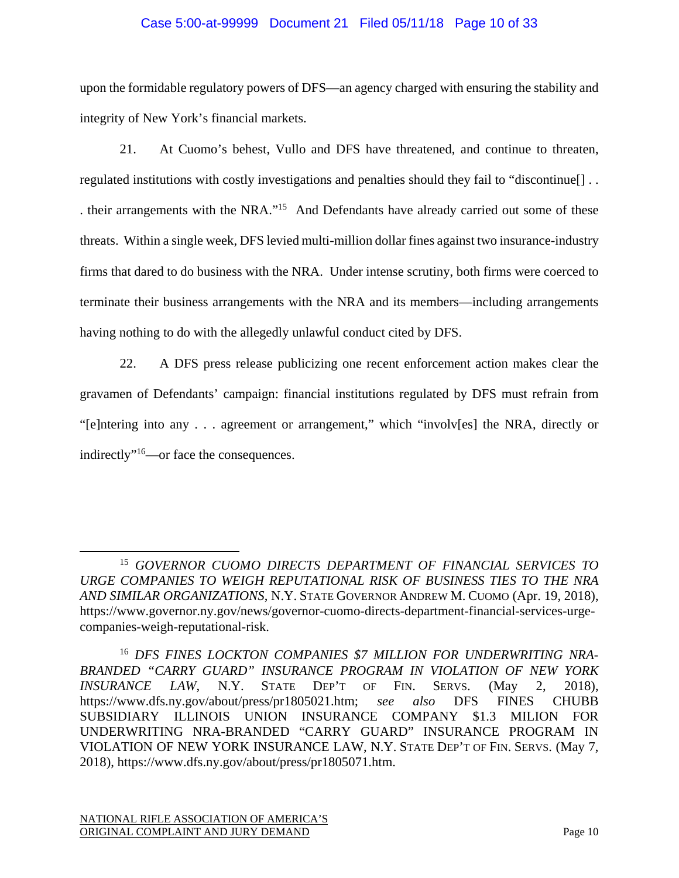# Case 5:00-at-99999 Document 21 Filed 05/11/18 Page 10 of 33

upon the formidable regulatory powers of DFS—an agency charged with ensuring the stability and integrity of New York's financial markets.

21. At Cuomo's behest, Vullo and DFS have threatened, and continue to threaten, regulated institutions with costly investigations and penalties should they fail to "discontinue[] . . . their arrangements with the NRA."15 And Defendants have already carried out some of these threats. Within a single week, DFS levied multi-million dollar fines against two insurance-industry firms that dared to do business with the NRA. Under intense scrutiny, both firms were coerced to terminate their business arrangements with the NRA and its members—including arrangements having nothing to do with the allegedly unlawful conduct cited by DFS.

22. A DFS press release publicizing one recent enforcement action makes clear the gravamen of Defendants' campaign: financial institutions regulated by DFS must refrain from "[e]ntering into any . . . agreement or arrangement," which "involv[es] the NRA, directly or indirectly"16—or face the consequences.

 <sup>15</sup> *GOVERNOR CUOMO DIRECTS DEPARTMENT OF FINANCIAL SERVICES TO URGE COMPANIES TO WEIGH REPUTATIONAL RISK OF BUSINESS TIES TO THE NRA AND SIMILAR ORGANIZATIONS*, N.Y. STATE GOVERNOR ANDREW M. CUOMO (Apr. 19, 2018), https://www.governor.ny.gov/news/governor-cuomo-directs-department-financial-services-urgecompanies-weigh-reputational-risk.

<sup>16</sup> *DFS FINES LOCKTON COMPANIES \$7 MILLION FOR UNDERWRITING NRA-BRANDED "CARRY GUARD" INSURANCE PROGRAM IN VIOLATION OF NEW YORK INSURANCE LAW*, N.Y. STATE DEP'T OF FIN. SERVS. (May 2, 2018), https://www.dfs.ny.gov/about/press/pr1805021.htm; *see also* DFS FINES CHUBB SUBSIDIARY ILLINOIS UNION INSURANCE COMPANY \$1.3 MILION FOR UNDERWRITING NRA-BRANDED "CARRY GUARD" INSURANCE PROGRAM IN VIOLATION OF NEW YORK INSURANCE LAW, N.Y. STATE DEP'T OF FIN. SERVS. (May 7, 2018), https://www.dfs.ny.gov/about/press/pr1805071.htm.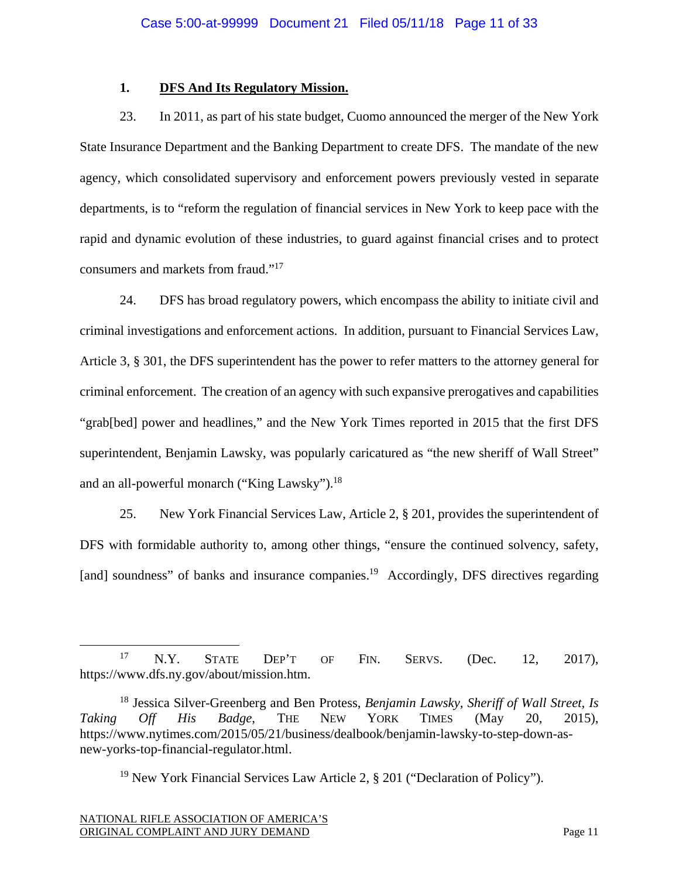## **1. DFS And Its Regulatory Mission.**

23. In 2011, as part of his state budget, Cuomo announced the merger of the New York State Insurance Department and the Banking Department to create DFS. The mandate of the new agency, which consolidated supervisory and enforcement powers previously vested in separate departments, is to "reform the regulation of financial services in New York to keep pace with the rapid and dynamic evolution of these industries, to guard against financial crises and to protect consumers and markets from fraud."17

24. DFS has broad regulatory powers, which encompass the ability to initiate civil and criminal investigations and enforcement actions. In addition, pursuant to Financial Services Law, Article 3, § 301, the DFS superintendent has the power to refer matters to the attorney general for criminal enforcement. The creation of an agency with such expansive prerogatives and capabilities "grab[bed] power and headlines," and the New York Times reported in 2015 that the first DFS superintendent, Benjamin Lawsky, was popularly caricatured as "the new sheriff of Wall Street" and an all-powerful monarch ("King Lawsky").<sup>18</sup>

25. New York Financial Services Law, Article 2, § 201, provides the superintendent of DFS with formidable authority to, among other things, "ensure the continued solvency, safety, [and] soundness" of banks and insurance companies.<sup>19</sup> Accordingly, DFS directives regarding

<sup>19</sup> New York Financial Services Law Article 2,  $\S 201$  ("Declaration of Policy").

<sup>17</sup> N.Y. STATE DEP'T OF FIN. SERVS. (Dec. 12, 2017), https://www.dfs.ny.gov/about/mission.htm.

<sup>18</sup> Jessica Silver-Greenberg and Ben Protess, *Benjamin Lawsky, Sheriff of Wall Street, Is Taking Off His Badge*, THE NEW YORK TIMES (May 20, 2015), https://www.nytimes.com/2015/05/21/business/dealbook/benjamin-lawsky-to-step-down-asnew-yorks-top-financial-regulator.html.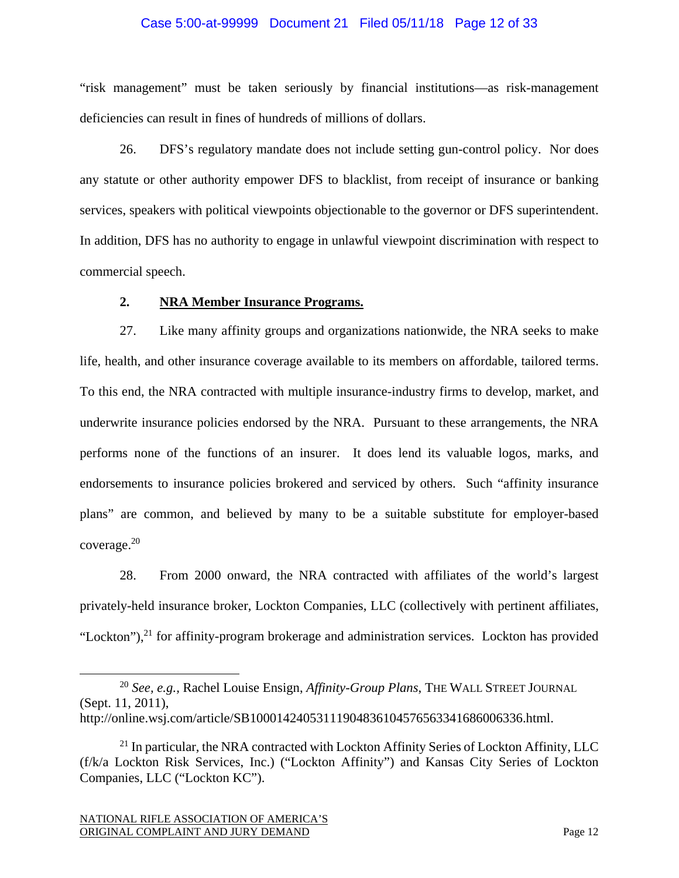### Case 5:00-at-99999 Document 21 Filed 05/11/18 Page 12 of 33

"risk management" must be taken seriously by financial institutions—as risk-management deficiencies can result in fines of hundreds of millions of dollars.

26. DFS's regulatory mandate does not include setting gun-control policy. Nor does any statute or other authority empower DFS to blacklist, from receipt of insurance or banking services, speakers with political viewpoints objectionable to the governor or DFS superintendent. In addition, DFS has no authority to engage in unlawful viewpoint discrimination with respect to commercial speech.

#### **2. NRA Member Insurance Programs.**

27. Like many affinity groups and organizations nationwide, the NRA seeks to make life, health, and other insurance coverage available to its members on affordable, tailored terms. To this end, the NRA contracted with multiple insurance-industry firms to develop, market, and underwrite insurance policies endorsed by the NRA. Pursuant to these arrangements, the NRA performs none of the functions of an insurer. It does lend its valuable logos, marks, and endorsements to insurance policies brokered and serviced by others. Such "affinity insurance plans" are common, and believed by many to be a suitable substitute for employer-based coverage.20

28. From 2000 onward, the NRA contracted with affiliates of the world's largest privately-held insurance broker, Lockton Companies, LLC (collectively with pertinent affiliates, "Lockton"), $^{21}$  for affinity-program brokerage and administration services. Lockton has provided

 <sup>20</sup> *See, e.g.,* Rachel Louise Ensign, *Affinity-Group Plans*, THE WALL STREET JOURNAL (Sept. 11, 2011), http://online.wsj.com/article/SB10001424053111904836104576563341686006336.html.

 $^{21}$  In particular, the NRA contracted with Lockton Affinity Series of Lockton Affinity, LLC (f/k/a Lockton Risk Services, Inc.) ("Lockton Affinity") and Kansas City Series of Lockton Companies, LLC ("Lockton KC").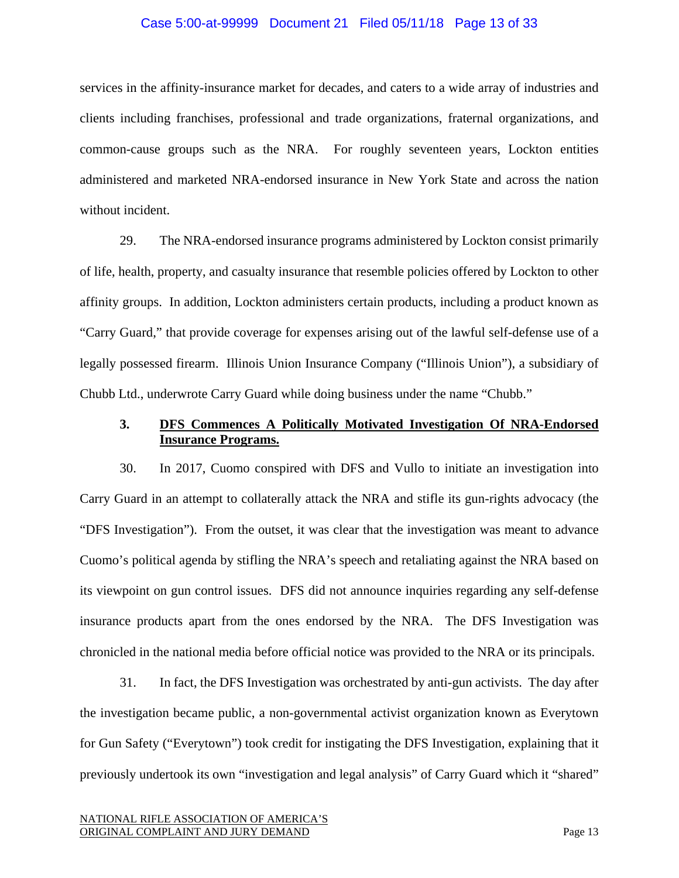#### Case 5:00-at-99999 Document 21 Filed 05/11/18 Page 13 of 33

services in the affinity-insurance market for decades, and caters to a wide array of industries and clients including franchises, professional and trade organizations, fraternal organizations, and common-cause groups such as the NRA. For roughly seventeen years, Lockton entities administered and marketed NRA-endorsed insurance in New York State and across the nation without incident.

29. The NRA-endorsed insurance programs administered by Lockton consist primarily of life, health, property, and casualty insurance that resemble policies offered by Lockton to other affinity groups. In addition, Lockton administers certain products, including a product known as "Carry Guard," that provide coverage for expenses arising out of the lawful self-defense use of a legally possessed firearm. Illinois Union Insurance Company ("Illinois Union"), a subsidiary of Chubb Ltd., underwrote Carry Guard while doing business under the name "Chubb."

## **3. DFS Commences A Politically Motivated Investigation Of NRA-Endorsed Insurance Programs.**

30. In 2017, Cuomo conspired with DFS and Vullo to initiate an investigation into Carry Guard in an attempt to collaterally attack the NRA and stifle its gun-rights advocacy (the "DFS Investigation"). From the outset, it was clear that the investigation was meant to advance Cuomo's political agenda by stifling the NRA's speech and retaliating against the NRA based on its viewpoint on gun control issues. DFS did not announce inquiries regarding any self-defense insurance products apart from the ones endorsed by the NRA. The DFS Investigation was chronicled in the national media before official notice was provided to the NRA or its principals.

31. In fact, the DFS Investigation was orchestrated by anti-gun activists. The day after the investigation became public, a non-governmental activist organization known as Everytown for Gun Safety ("Everytown") took credit for instigating the DFS Investigation, explaining that it previously undertook its own "investigation and legal analysis" of Carry Guard which it "shared"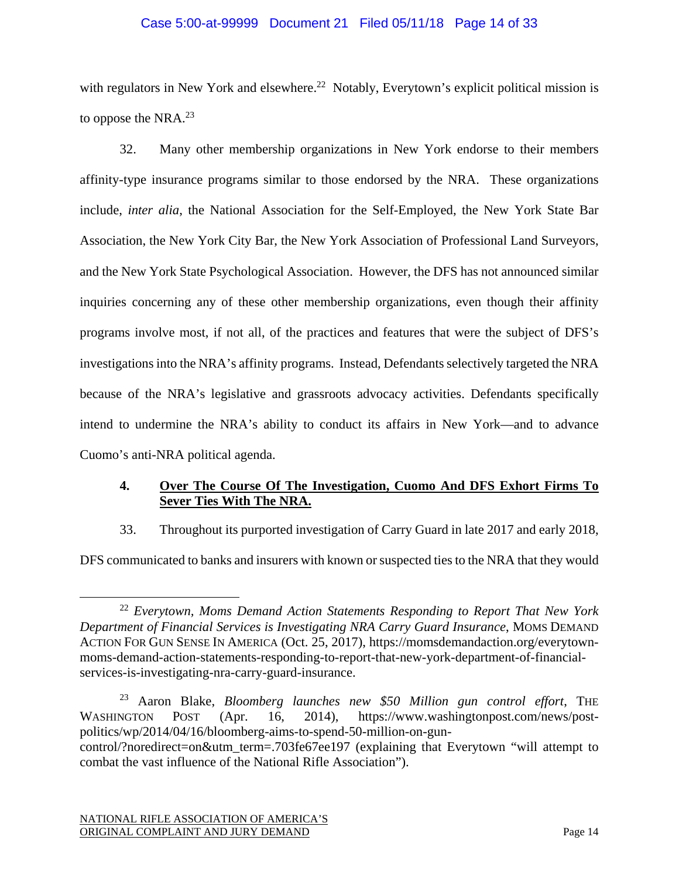## Case 5:00-at-99999 Document 21 Filed 05/11/18 Page 14 of 33

with regulators in New York and elsewhere.<sup>22</sup> Notably, Everytown's explicit political mission is to oppose the NRA. $^{23}$ 

32. Many other membership organizations in New York endorse to their members affinity-type insurance programs similar to those endorsed by the NRA. These organizations include, *inter alia*, the National Association for the Self-Employed, the New York State Bar Association, the New York City Bar, the New York Association of Professional Land Surveyors, and the New York State Psychological Association. However, the DFS has not announced similar inquiries concerning any of these other membership organizations, even though their affinity programs involve most, if not all, of the practices and features that were the subject of DFS's investigations into the NRA's affinity programs. Instead, Defendants selectively targeted the NRA because of the NRA's legislative and grassroots advocacy activities. Defendants specifically intend to undermine the NRA's ability to conduct its affairs in New York—and to advance Cuomo's anti-NRA political agenda.

# **4. Over The Course Of The Investigation, Cuomo And DFS Exhort Firms To Sever Ties With The NRA.**

33. Throughout its purported investigation of Carry Guard in late 2017 and early 2018,

DFS communicated to banks and insurers with known or suspected ties to the NRA that they would

 <sup>22</sup> *Everytown, Moms Demand Action Statements Responding to Report That New York Department of Financial Services is Investigating NRA Carry Guard Insurance*, MOMS DEMAND ACTION FOR GUN SENSE IN AMERICA (Oct. 25, 2017), https://momsdemandaction.org/everytownmoms-demand-action-statements-responding-to-report-that-new-york-department-of-financialservices-is-investigating-nra-carry-guard-insurance.

<sup>23</sup> Aaron Blake, *Bloomberg launches new \$50 Million gun control effort*, THE WASHINGTON POST (Apr. 16, 2014), https://www.washingtonpost.com/news/postpolitics/wp/2014/04/16/bloomberg-aims-to-spend-50-million-on-guncontrol/?noredirect=on&utm\_term=.703fe67ee197 (explaining that Everytown "will attempt to combat the vast influence of the National Rifle Association").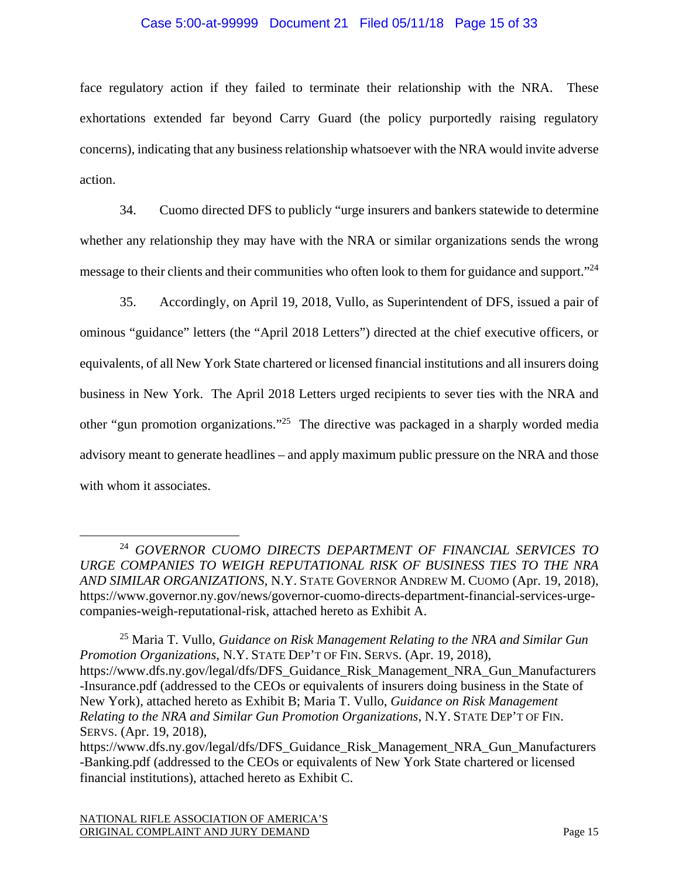### Case 5:00-at-99999 Document 21 Filed 05/11/18 Page 15 of 33

face regulatory action if they failed to terminate their relationship with the NRA. These exhortations extended far beyond Carry Guard (the policy purportedly raising regulatory concerns), indicating that any business relationship whatsoever with the NRA would invite adverse action.

34. Cuomo directed DFS to publicly "urge insurers and bankers statewide to determine whether any relationship they may have with the NRA or similar organizations sends the wrong message to their clients and their communities who often look to them for guidance and support."<sup>24</sup>

35. Accordingly, on April 19, 2018, Vullo, as Superintendent of DFS, issued a pair of ominous "guidance" letters (the "April 2018 Letters") directed at the chief executive officers, or equivalents, of all New York State chartered or licensed financial institutions and all insurers doing business in New York. The April 2018 Letters urged recipients to sever ties with the NRA and other "gun promotion organizations."25 The directive was packaged in a sharply worded media advisory meant to generate headlines – and apply maximum public pressure on the NRA and those with whom it associates.

 <sup>24</sup> *GOVERNOR CUOMO DIRECTS DEPARTMENT OF FINANCIAL SERVICES TO URGE COMPANIES TO WEIGH REPUTATIONAL RISK OF BUSINESS TIES TO THE NRA AND SIMILAR ORGANIZATIONS*, N.Y. STATE GOVERNOR ANDREW M. CUOMO (Apr. 19, 2018), https://www.governor.ny.gov/news/governor-cuomo-directs-department-financial-services-urgecompanies-weigh-reputational-risk, attached hereto as Exhibit A.

<sup>25</sup> Maria T. Vullo, *Guidance on Risk Management Relating to the NRA and Similar Gun Promotion Organizations*, N.Y. STATE DEP'T OF FIN. SERVS. (Apr. 19, 2018), https://www.dfs.ny.gov/legal/dfs/DFS\_Guidance\_Risk\_Management\_NRA\_Gun\_Manufacturers -Insurance.pdf (addressed to the CEOs or equivalents of insurers doing business in the State of New York), attached hereto as Exhibit B; Maria T. Vullo, *Guidance on Risk Management Relating to the NRA and Similar Gun Promotion Organizations*, N.Y. STATE DEP'T OF FIN. SERVS. (Apr. 19, 2018),

https://www.dfs.ny.gov/legal/dfs/DFS\_Guidance\_Risk\_Management\_NRA\_Gun\_Manufacturers -Banking.pdf (addressed to the CEOs or equivalents of New York State chartered or licensed financial institutions), attached hereto as Exhibit C.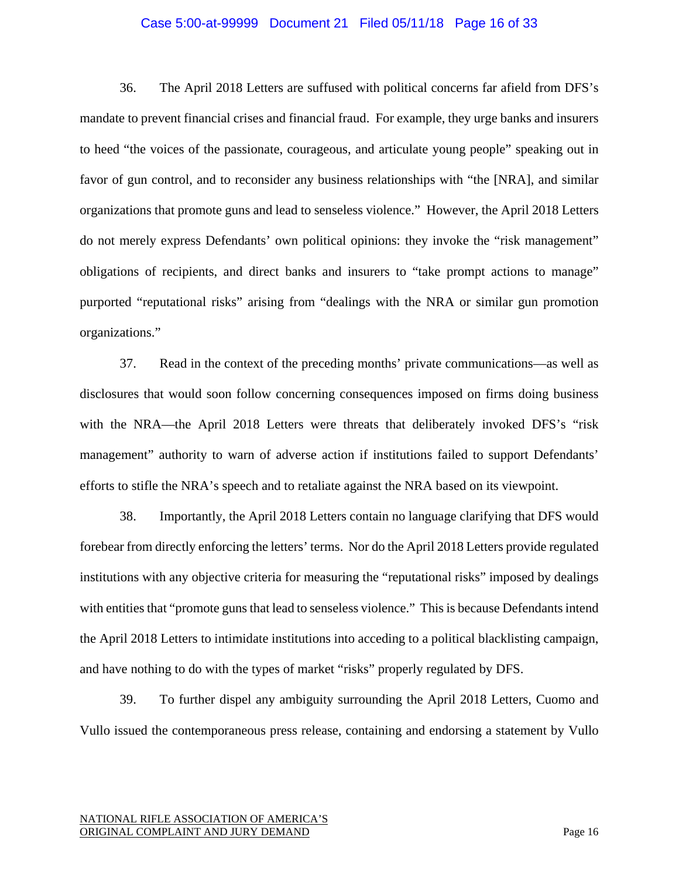#### Case 5:00-at-99999 Document 21 Filed 05/11/18 Page 16 of 33

36. The April 2018 Letters are suffused with political concerns far afield from DFS's mandate to prevent financial crises and financial fraud. For example, they urge banks and insurers to heed "the voices of the passionate, courageous, and articulate young people" speaking out in favor of gun control, and to reconsider any business relationships with "the [NRA], and similar organizations that promote guns and lead to senseless violence." However, the April 2018 Letters do not merely express Defendants' own political opinions: they invoke the "risk management" obligations of recipients, and direct banks and insurers to "take prompt actions to manage" purported "reputational risks" arising from "dealings with the NRA or similar gun promotion organizations."

37. Read in the context of the preceding months' private communications—as well as disclosures that would soon follow concerning consequences imposed on firms doing business with the NRA—the April 2018 Letters were threats that deliberately invoked DFS's "risk" management" authority to warn of adverse action if institutions failed to support Defendants' efforts to stifle the NRA's speech and to retaliate against the NRA based on its viewpoint.

38. Importantly, the April 2018 Letters contain no language clarifying that DFS would forebear from directly enforcing the letters' terms. Nor do the April 2018 Letters provide regulated institutions with any objective criteria for measuring the "reputational risks" imposed by dealings with entities that "promote guns that lead to senseless violence." This is because Defendants intend the April 2018 Letters to intimidate institutions into acceding to a political blacklisting campaign, and have nothing to do with the types of market "risks" properly regulated by DFS.

39. To further dispel any ambiguity surrounding the April 2018 Letters, Cuomo and Vullo issued the contemporaneous press release, containing and endorsing a statement by Vullo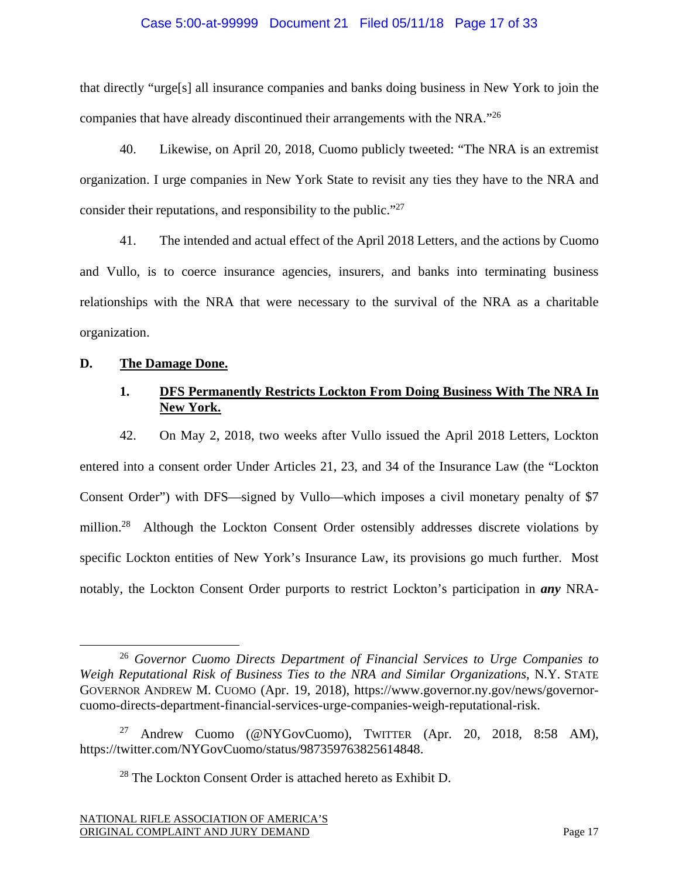### Case 5:00-at-99999 Document 21 Filed 05/11/18 Page 17 of 33

that directly "urge[s] all insurance companies and banks doing business in New York to join the companies that have already discontinued their arrangements with the NRA."26

40. Likewise, on April 20, 2018, Cuomo publicly tweeted: "The NRA is an extremist organization. I urge companies in New York State to revisit any ties they have to the NRA and consider their reputations, and responsibility to the public."27

41. The intended and actual effect of the April 2018 Letters, and the actions by Cuomo and Vullo, is to coerce insurance agencies, insurers, and banks into terminating business relationships with the NRA that were necessary to the survival of the NRA as a charitable organization.

## **D. The Damage Done.**

## **1. DFS Permanently Restricts Lockton From Doing Business With The NRA In New York.**

42. On May 2, 2018, two weeks after Vullo issued the April 2018 Letters, Lockton entered into a consent order Under Articles 21, 23, and 34 of the Insurance Law (the "Lockton Consent Order") with DFS—signed by Vullo—which imposes a civil monetary penalty of \$7 million.<sup>28</sup> Although the Lockton Consent Order ostensibly addresses discrete violations by specific Lockton entities of New York's Insurance Law, its provisions go much further. Most notably, the Lockton Consent Order purports to restrict Lockton's participation in *any* NRA-

 <sup>26</sup> *Governor Cuomo Directs Department of Financial Services to Urge Companies to Weigh Reputational Risk of Business Ties to the NRA and Similar Organizations*, N.Y. STATE GOVERNOR ANDREW M. CUOMO (Apr. 19, 2018), https://www.governor.ny.gov/news/governorcuomo-directs-department-financial-services-urge-companies-weigh-reputational-risk.

<sup>27</sup> Andrew Cuomo (@NYGovCuomo), TWITTER (Apr. 20, 2018, 8:58 AM), https://twitter.com/NYGovCuomo/status/987359763825614848.

 $28$  The Lockton Consent Order is attached hereto as Exhibit D.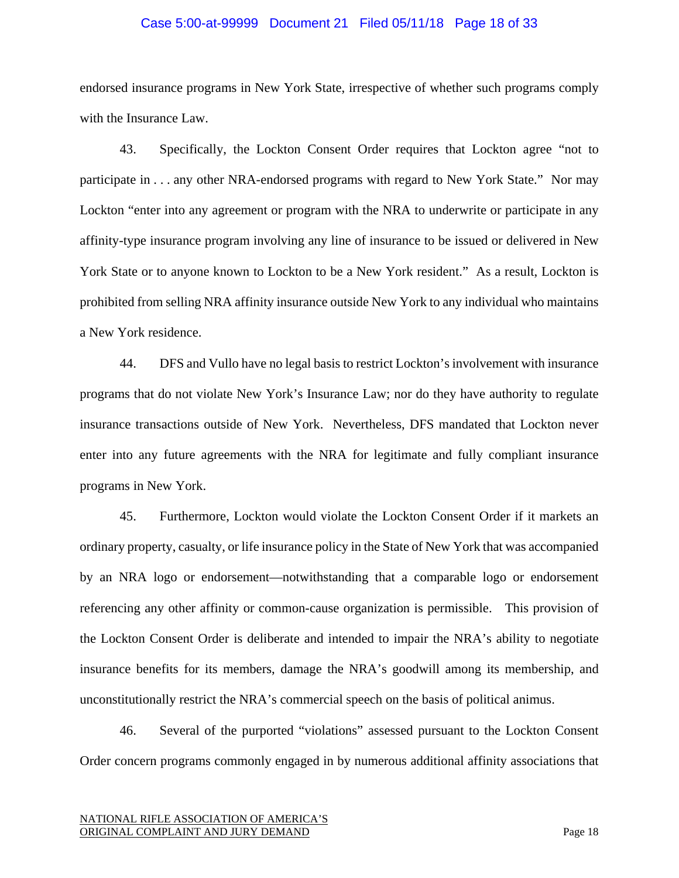#### Case 5:00-at-99999 Document 21 Filed 05/11/18 Page 18 of 33

endorsed insurance programs in New York State, irrespective of whether such programs comply with the Insurance Law.

43. Specifically, the Lockton Consent Order requires that Lockton agree "not to participate in . . . any other NRA-endorsed programs with regard to New York State." Nor may Lockton "enter into any agreement or program with the NRA to underwrite or participate in any affinity-type insurance program involving any line of insurance to be issued or delivered in New York State or to anyone known to Lockton to be a New York resident." As a result, Lockton is prohibited from selling NRA affinity insurance outside New York to any individual who maintains a New York residence.

44. DFS and Vullo have no legal basis to restrict Lockton's involvement with insurance programs that do not violate New York's Insurance Law; nor do they have authority to regulate insurance transactions outside of New York. Nevertheless, DFS mandated that Lockton never enter into any future agreements with the NRA for legitimate and fully compliant insurance programs in New York.

45. Furthermore, Lockton would violate the Lockton Consent Order if it markets an ordinary property, casualty, or life insurance policy in the State of New York that was accompanied by an NRA logo or endorsement—notwithstanding that a comparable logo or endorsement referencing any other affinity or common-cause organization is permissible. This provision of the Lockton Consent Order is deliberate and intended to impair the NRA's ability to negotiate insurance benefits for its members, damage the NRA's goodwill among its membership, and unconstitutionally restrict the NRA's commercial speech on the basis of political animus.

46. Several of the purported "violations" assessed pursuant to the Lockton Consent Order concern programs commonly engaged in by numerous additional affinity associations that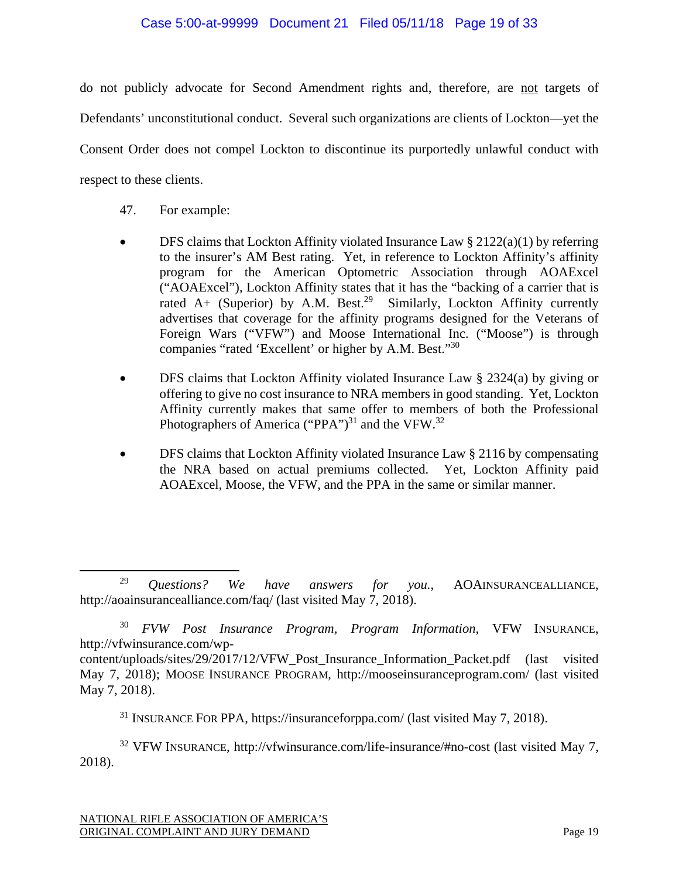## Case 5:00-at-99999 Document 21 Filed 05/11/18 Page 19 of 33

do not publicly advocate for Second Amendment rights and, therefore, are not targets of Defendants' unconstitutional conduct. Several such organizations are clients of Lockton—yet the Consent Order does not compel Lockton to discontinue its purportedly unlawful conduct with respect to these clients.

- 47. For example:
- $\bullet$  DFS claims that Lockton Affinity violated Insurance Law § 2122(a)(1) by referring to the insurer's AM Best rating. Yet, in reference to Lockton Affinity's affinity program for the American Optometric Association through AOAExcel ("AOAExcel"), Lockton Affinity states that it has the "backing of a carrier that is rated A+ (Superior) by A.M. Best.<sup>29</sup> Similarly, Lockton Affinity currently advertises that coverage for the affinity programs designed for the Veterans of Foreign Wars ("VFW") and Moose International Inc. ("Moose") is through companies "rated 'Excellent' or higher by A.M. Best."30
- DFS claims that Lockton Affinity violated Insurance Law § 2324(a) by giving or offering to give no cost insurance to NRA members in good standing. Yet, Lockton Affinity currently makes that same offer to members of both the Professional Photographers of America ("PPA")<sup>31</sup> and the VFW.<sup>32</sup>
- DFS claims that Lockton Affinity violated Insurance Law § 2116 by compensating the NRA based on actual premiums collected. Yet, Lockton Affinity paid AOAExcel, Moose, the VFW, and the PPA in the same or similar manner.

31 INSURANCE FOR PPA, https://insuranceforppa.com/ (last visited May 7, 2018).

 $32$  VFW INSURANCE, http://vfwinsurance.com/life-insurance/#no-cost (last visited May 7, 2018).

 <sup>29</sup> *Questions? We have answers for you.*, AOAINSURANCEALLIANCE, http://aoainsurancealliance.com/faq/ (last visited May 7, 2018).

<sup>30</sup> *FVW Post Insurance Program, Program Information*, VFW INSURANCE, http://vfwinsurance.com/wp-

content/uploads/sites/29/2017/12/VFW\_Post\_Insurance\_Information\_Packet.pdf (last visited May 7, 2018); MOOSE INSURANCE PROGRAM, http://mooseinsuranceprogram.com/ (last visited May 7, 2018).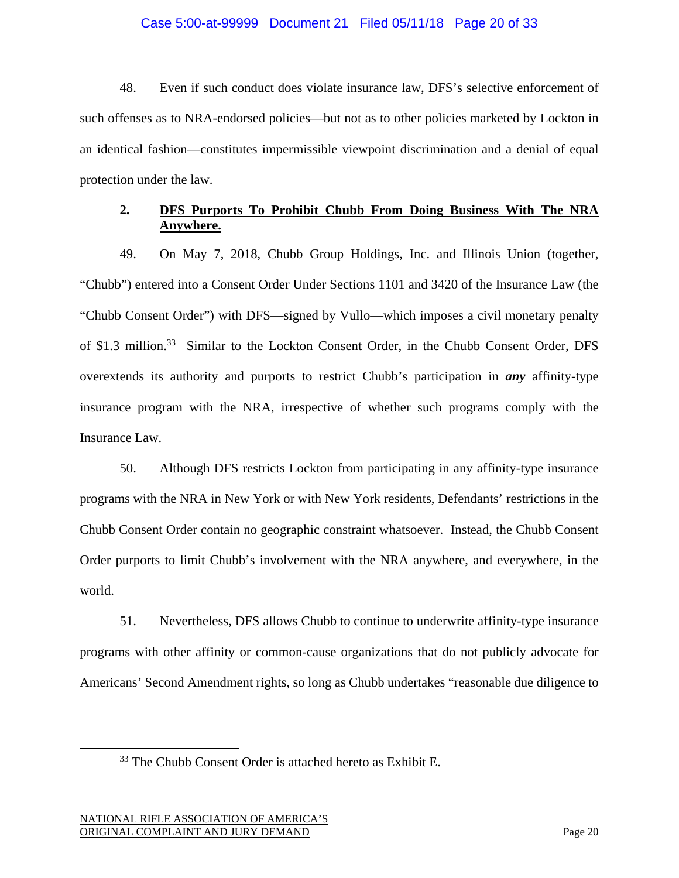### Case 5:00-at-99999 Document 21 Filed 05/11/18 Page 20 of 33

48. Even if such conduct does violate insurance law, DFS's selective enforcement of such offenses as to NRA-endorsed policies—but not as to other policies marketed by Lockton in an identical fashion—constitutes impermissible viewpoint discrimination and a denial of equal protection under the law.

# **2. DFS Purports To Prohibit Chubb From Doing Business With The NRA Anywhere.**

49. On May 7, 2018, Chubb Group Holdings, Inc. and Illinois Union (together, "Chubb") entered into a Consent Order Under Sections 1101 and 3420 of the Insurance Law (the "Chubb Consent Order") with DFS—signed by Vullo—which imposes a civil monetary penalty of \$1.3 million.<sup>33</sup> Similar to the Lockton Consent Order, in the Chubb Consent Order, DFS overextends its authority and purports to restrict Chubb's participation in *any* affinity-type insurance program with the NRA, irrespective of whether such programs comply with the Insurance Law.

50. Although DFS restricts Lockton from participating in any affinity-type insurance programs with the NRA in New York or with New York residents, Defendants' restrictions in the Chubb Consent Order contain no geographic constraint whatsoever. Instead, the Chubb Consent Order purports to limit Chubb's involvement with the NRA anywhere, and everywhere, in the world.

51. Nevertheless, DFS allows Chubb to continue to underwrite affinity-type insurance programs with other affinity or common-cause organizations that do not publicly advocate for Americans' Second Amendment rights, so long as Chubb undertakes "reasonable due diligence to

<sup>&</sup>lt;sup>33</sup> The Chubb Consent Order is attached hereto as Exhibit E.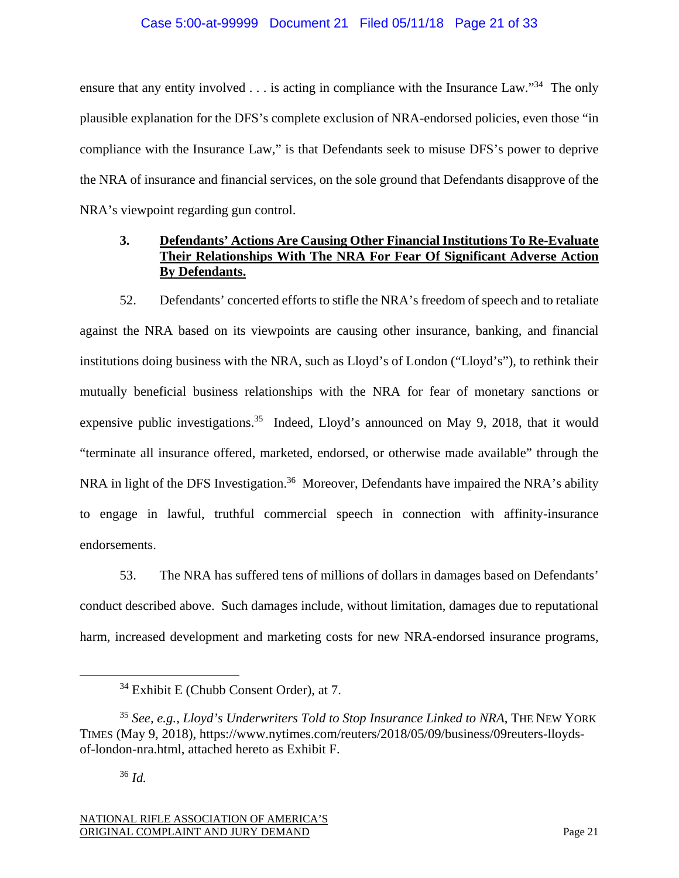## Case 5:00-at-99999 Document 21 Filed 05/11/18 Page 21 of 33

ensure that any entity involved  $\ldots$  is acting in compliance with the Insurance Law."<sup>34</sup> The only plausible explanation for the DFS's complete exclusion of NRA-endorsed policies, even those "in compliance with the Insurance Law," is that Defendants seek to misuse DFS's power to deprive the NRA of insurance and financial services, on the sole ground that Defendants disapprove of the NRA's viewpoint regarding gun control.

# **3. Defendants' Actions Are Causing Other Financial Institutions To Re-Evaluate Their Relationships With The NRA For Fear Of Significant Adverse Action By Defendants.**

52. Defendants' concerted efforts to stifle the NRA's freedom of speech and to retaliate against the NRA based on its viewpoints are causing other insurance, banking, and financial institutions doing business with the NRA, such as Lloyd's of London ("Lloyd's"), to rethink their mutually beneficial business relationships with the NRA for fear of monetary sanctions or expensive public investigations.<sup>35</sup> Indeed, Lloyd's announced on May 9, 2018, that it would "terminate all insurance offered, marketed, endorsed, or otherwise made available" through the NRA in light of the DFS Investigation.<sup>36</sup> Moreover, Defendants have impaired the NRA's ability to engage in lawful, truthful commercial speech in connection with affinity-insurance endorsements.

53. The NRA has suffered tens of millions of dollars in damages based on Defendants' conduct described above. Such damages include, without limitation, damages due to reputational harm, increased development and marketing costs for new NRA-endorsed insurance programs,

<sup>&</sup>lt;sup>34</sup> Exhibit E (Chubb Consent Order), at 7.

<sup>35</sup> *See, e.g.*, *Lloyd's Underwriters Told to Stop Insurance Linked to NRA*, THE NEW YORK TIMES (May 9, 2018), https://www.nytimes.com/reuters/2018/05/09/business/09reuters-lloydsof-london-nra.html, attached hereto as Exhibit F.

<sup>36</sup> *Id.*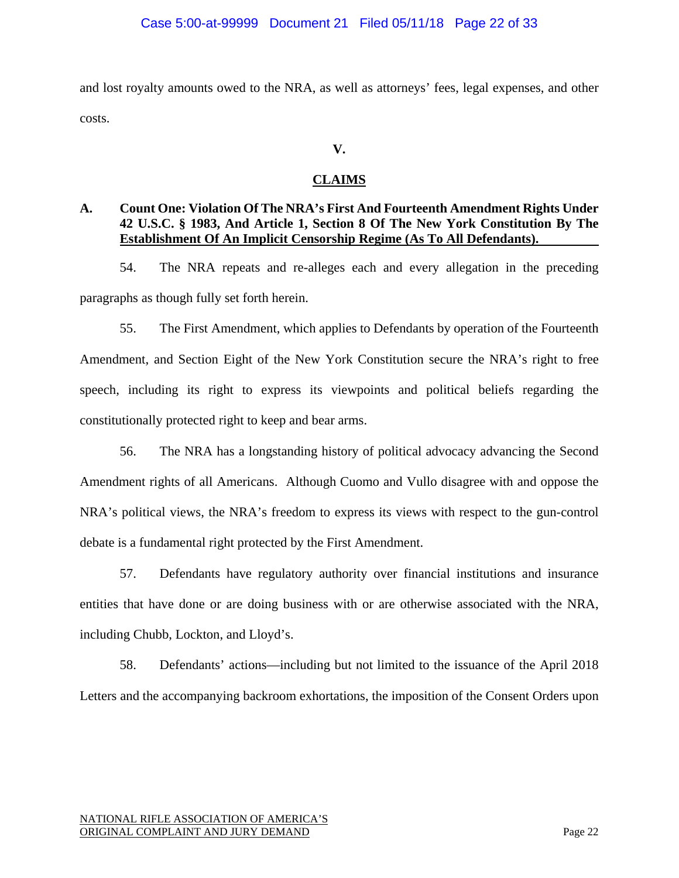and lost royalty amounts owed to the NRA, as well as attorneys' fees, legal expenses, and other costs.

# **V.**

# **CLAIMS**

# **A. Count One: Violation Of The NRA's First And Fourteenth Amendment Rights Under 42 U.S.C. § 1983, And Article 1, Section 8 Of The New York Constitution By The Establishment Of An Implicit Censorship Regime (As To All Defendants).**

54. The NRA repeats and re-alleges each and every allegation in the preceding paragraphs as though fully set forth herein.

55. The First Amendment, which applies to Defendants by operation of the Fourteenth Amendment, and Section Eight of the New York Constitution secure the NRA's right to free speech, including its right to express its viewpoints and political beliefs regarding the constitutionally protected right to keep and bear arms.

56. The NRA has a longstanding history of political advocacy advancing the Second Amendment rights of all Americans. Although Cuomo and Vullo disagree with and oppose the NRA's political views, the NRA's freedom to express its views with respect to the gun-control debate is a fundamental right protected by the First Amendment.

57. Defendants have regulatory authority over financial institutions and insurance entities that have done or are doing business with or are otherwise associated with the NRA, including Chubb, Lockton, and Lloyd's.

58. Defendants' actions—including but not limited to the issuance of the April 2018 Letters and the accompanying backroom exhortations, the imposition of the Consent Orders upon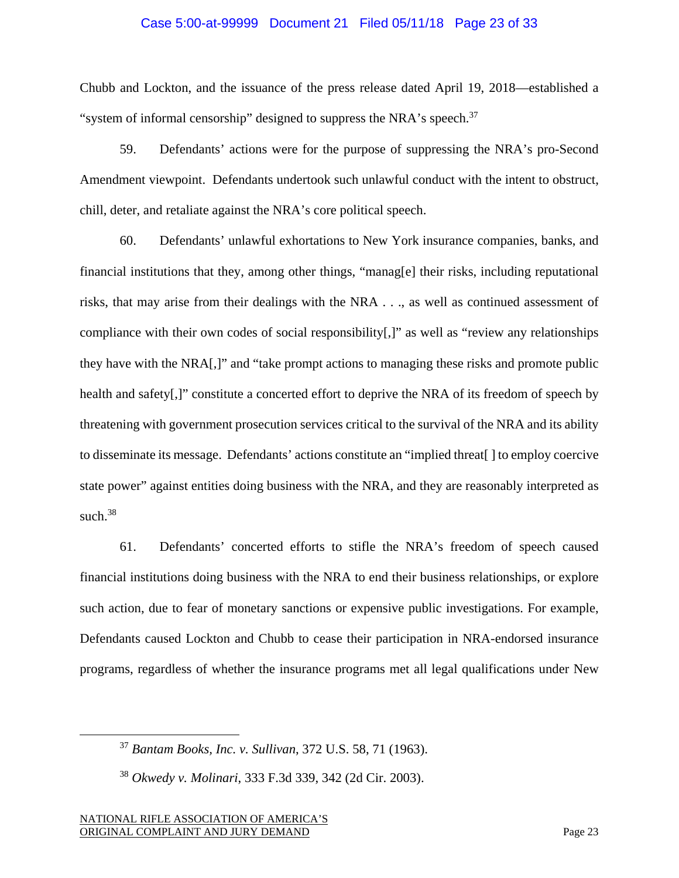### Case 5:00-at-99999 Document 21 Filed 05/11/18 Page 23 of 33

Chubb and Lockton, and the issuance of the press release dated April 19, 2018—established a "system of informal censorship" designed to suppress the NRA's speech. $37$ 

59. Defendants' actions were for the purpose of suppressing the NRA's pro-Second Amendment viewpoint. Defendants undertook such unlawful conduct with the intent to obstruct, chill, deter, and retaliate against the NRA's core political speech.

60. Defendants' unlawful exhortations to New York insurance companies, banks, and financial institutions that they, among other things, "manag[e] their risks, including reputational risks, that may arise from their dealings with the NRA . . ., as well as continued assessment of compliance with their own codes of social responsibility[,]" as well as "review any relationships they have with the NRA[,]" and "take prompt actions to managing these risks and promote public health and safety[,]" constitute a concerted effort to deprive the NRA of its freedom of speech by threatening with government prosecution services critical to the survival of the NRA and its ability to disseminate its message. Defendants' actions constitute an "implied threat[ ] to employ coercive state power" against entities doing business with the NRA, and they are reasonably interpreted as such. $38$ 

61. Defendants' concerted efforts to stifle the NRA's freedom of speech caused financial institutions doing business with the NRA to end their business relationships, or explore such action, due to fear of monetary sanctions or expensive public investigations. For example, Defendants caused Lockton and Chubb to cease their participation in NRA-endorsed insurance programs, regardless of whether the insurance programs met all legal qualifications under New

 <sup>37</sup> *Bantam Books, Inc. v. Sullivan*, 372 U.S. 58, 71 (1963).

<sup>38</sup> *Okwedy v. Molinari*, 333 F.3d 339, 342 (2d Cir. 2003).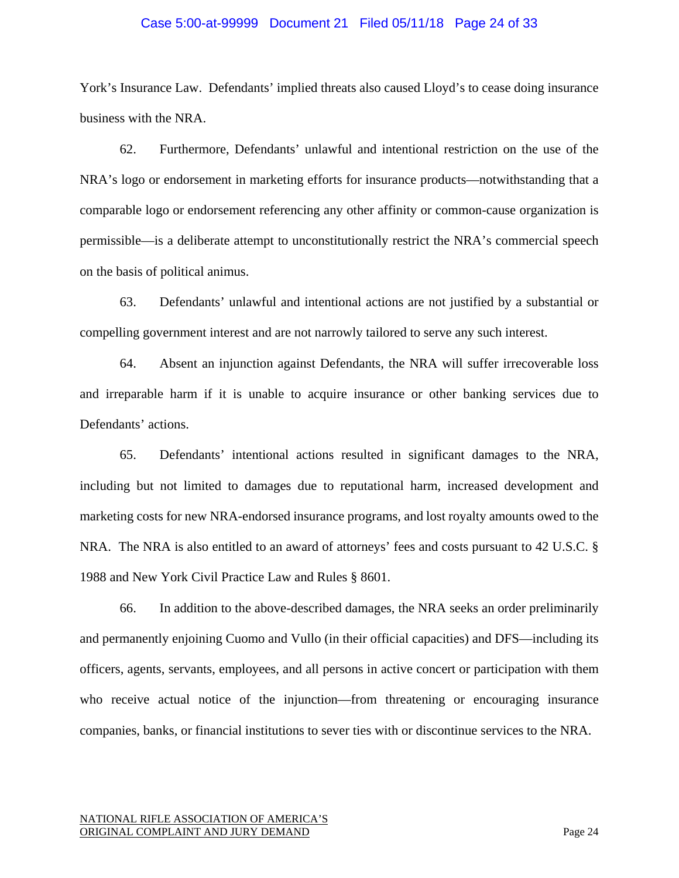#### Case 5:00-at-99999 Document 21 Filed 05/11/18 Page 24 of 33

York's Insurance Law. Defendants' implied threats also caused Lloyd's to cease doing insurance business with the NRA.

62. Furthermore, Defendants' unlawful and intentional restriction on the use of the NRA's logo or endorsement in marketing efforts for insurance products—notwithstanding that a comparable logo or endorsement referencing any other affinity or common-cause organization is permissible—is a deliberate attempt to unconstitutionally restrict the NRA's commercial speech on the basis of political animus.

63. Defendants' unlawful and intentional actions are not justified by a substantial or compelling government interest and are not narrowly tailored to serve any such interest.

64. Absent an injunction against Defendants, the NRA will suffer irrecoverable loss and irreparable harm if it is unable to acquire insurance or other banking services due to Defendants' actions.

65. Defendants' intentional actions resulted in significant damages to the NRA, including but not limited to damages due to reputational harm, increased development and marketing costs for new NRA-endorsed insurance programs, and lost royalty amounts owed to the NRA. The NRA is also entitled to an award of attorneys' fees and costs pursuant to 42 U.S.C. § 1988 and New York Civil Practice Law and Rules § 8601.

66. In addition to the above-described damages, the NRA seeks an order preliminarily and permanently enjoining Cuomo and Vullo (in their official capacities) and DFS—including its officers, agents, servants, employees, and all persons in active concert or participation with them who receive actual notice of the injunction—from threatening or encouraging insurance companies, banks, or financial institutions to sever ties with or discontinue services to the NRA.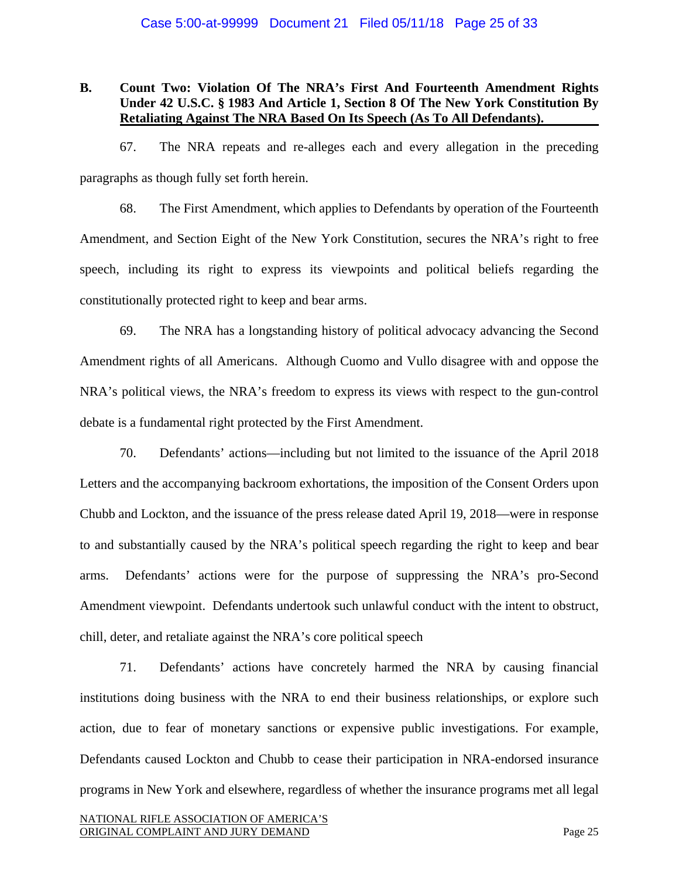## **B. Count Two: Violation Of The NRA's First And Fourteenth Amendment Rights Under 42 U.S.C. § 1983 And Article 1, Section 8 Of The New York Constitution By Retaliating Against The NRA Based On Its Speech (As To All Defendants).**

67. The NRA repeats and re-alleges each and every allegation in the preceding paragraphs as though fully set forth herein.

68. The First Amendment, which applies to Defendants by operation of the Fourteenth Amendment, and Section Eight of the New York Constitution, secures the NRA's right to free speech, including its right to express its viewpoints and political beliefs regarding the constitutionally protected right to keep and bear arms.

69. The NRA has a longstanding history of political advocacy advancing the Second Amendment rights of all Americans. Although Cuomo and Vullo disagree with and oppose the NRA's political views, the NRA's freedom to express its views with respect to the gun-control debate is a fundamental right protected by the First Amendment.

70. Defendants' actions—including but not limited to the issuance of the April 2018 Letters and the accompanying backroom exhortations, the imposition of the Consent Orders upon Chubb and Lockton, and the issuance of the press release dated April 19, 2018—were in response to and substantially caused by the NRA's political speech regarding the right to keep and bear arms. Defendants' actions were for the purpose of suppressing the NRA's pro-Second Amendment viewpoint. Defendants undertook such unlawful conduct with the intent to obstruct, chill, deter, and retaliate against the NRA's core political speech

71. Defendants' actions have concretely harmed the NRA by causing financial institutions doing business with the NRA to end their business relationships, or explore such action, due to fear of monetary sanctions or expensive public investigations. For example, Defendants caused Lockton and Chubb to cease their participation in NRA-endorsed insurance programs in New York and elsewhere, regardless of whether the insurance programs met all legal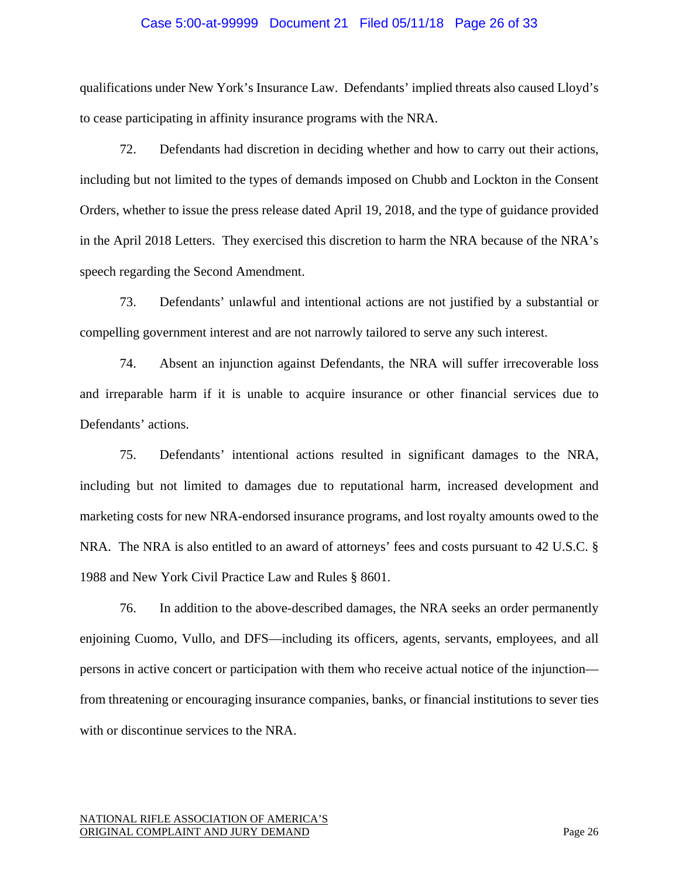#### Case 5:00-at-99999 Document 21 Filed 05/11/18 Page 26 of 33

qualifications under New York's Insurance Law. Defendants' implied threats also caused Lloyd's to cease participating in affinity insurance programs with the NRA.

72. Defendants had discretion in deciding whether and how to carry out their actions, including but not limited to the types of demands imposed on Chubb and Lockton in the Consent Orders, whether to issue the press release dated April 19, 2018, and the type of guidance provided in the April 2018 Letters. They exercised this discretion to harm the NRA because of the NRA's speech regarding the Second Amendment.

73. Defendants' unlawful and intentional actions are not justified by a substantial or compelling government interest and are not narrowly tailored to serve any such interest.

74. Absent an injunction against Defendants, the NRA will suffer irrecoverable loss and irreparable harm if it is unable to acquire insurance or other financial services due to Defendants' actions.

75. Defendants' intentional actions resulted in significant damages to the NRA, including but not limited to damages due to reputational harm, increased development and marketing costs for new NRA-endorsed insurance programs, and lost royalty amounts owed to the NRA. The NRA is also entitled to an award of attorneys' fees and costs pursuant to 42 U.S.C. § 1988 and New York Civil Practice Law and Rules § 8601.

76. In addition to the above-described damages, the NRA seeks an order permanently enjoining Cuomo, Vullo, and DFS—including its officers, agents, servants, employees, and all persons in active concert or participation with them who receive actual notice of the injunction from threatening or encouraging insurance companies, banks, or financial institutions to sever ties with or discontinue services to the NRA.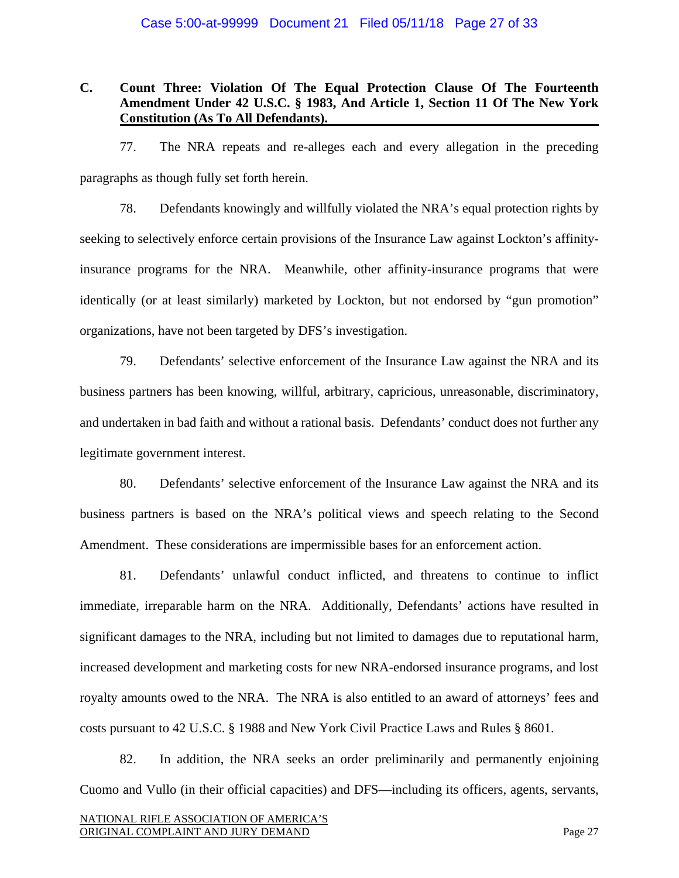### Case 5:00-at-99999 Document 21 Filed 05/11/18 Page 27 of 33

## **C. Count Three: Violation Of The Equal Protection Clause Of The Fourteenth Amendment Under 42 U.S.C. § 1983, And Article 1, Section 11 Of The New York Constitution (As To All Defendants).**

77. The NRA repeats and re-alleges each and every allegation in the preceding paragraphs as though fully set forth herein.

78. Defendants knowingly and willfully violated the NRA's equal protection rights by seeking to selectively enforce certain provisions of the Insurance Law against Lockton's affinityinsurance programs for the NRA. Meanwhile, other affinity-insurance programs that were identically (or at least similarly) marketed by Lockton, but not endorsed by "gun promotion" organizations, have not been targeted by DFS's investigation.

79. Defendants' selective enforcement of the Insurance Law against the NRA and its business partners has been knowing, willful, arbitrary, capricious, unreasonable, discriminatory, and undertaken in bad faith and without a rational basis. Defendants' conduct does not further any legitimate government interest.

80. Defendants' selective enforcement of the Insurance Law against the NRA and its business partners is based on the NRA's political views and speech relating to the Second Amendment. These considerations are impermissible bases for an enforcement action.

81. Defendants' unlawful conduct inflicted, and threatens to continue to inflict immediate, irreparable harm on the NRA. Additionally, Defendants' actions have resulted in significant damages to the NRA, including but not limited to damages due to reputational harm, increased development and marketing costs for new NRA-endorsed insurance programs, and lost royalty amounts owed to the NRA. The NRA is also entitled to an award of attorneys' fees and costs pursuant to 42 U.S.C. § 1988 and New York Civil Practice Laws and Rules § 8601.

82. In addition, the NRA seeks an order preliminarily and permanently enjoining Cuomo and Vullo (in their official capacities) and DFS—including its officers, agents, servants,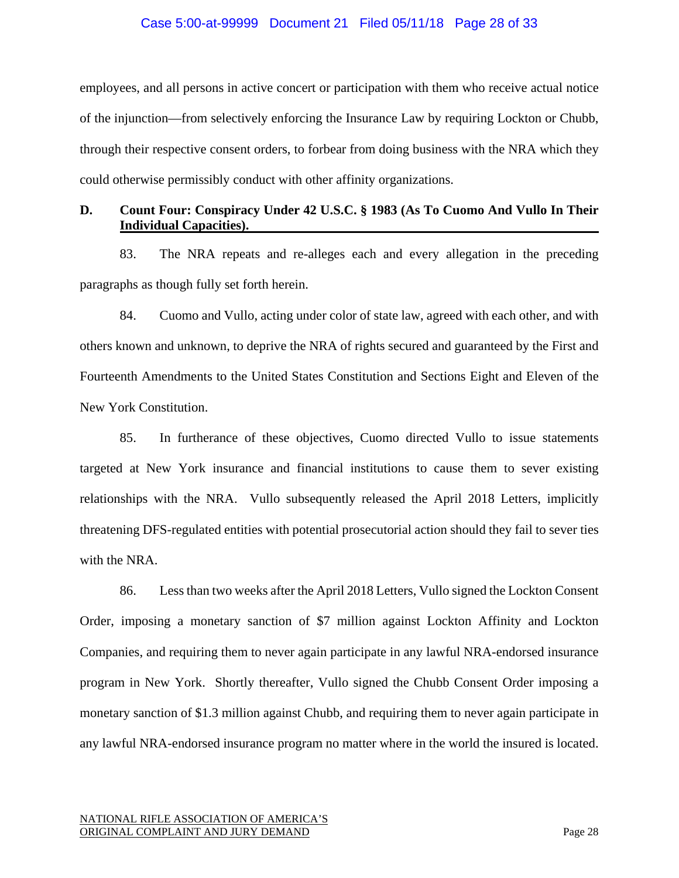### Case 5:00-at-99999 Document 21 Filed 05/11/18 Page 28 of 33

employees, and all persons in active concert or participation with them who receive actual notice of the injunction—from selectively enforcing the Insurance Law by requiring Lockton or Chubb, through their respective consent orders, to forbear from doing business with the NRA which they could otherwise permissibly conduct with other affinity organizations.

# **D. Count Four: Conspiracy Under 42 U.S.C. § 1983 (As To Cuomo And Vullo In Their Individual Capacities).**

83. The NRA repeats and re-alleges each and every allegation in the preceding paragraphs as though fully set forth herein.

84. Cuomo and Vullo, acting under color of state law, agreed with each other, and with others known and unknown, to deprive the NRA of rights secured and guaranteed by the First and Fourteenth Amendments to the United States Constitution and Sections Eight and Eleven of the New York Constitution.

85. In furtherance of these objectives, Cuomo directed Vullo to issue statements targeted at New York insurance and financial institutions to cause them to sever existing relationships with the NRA. Vullo subsequently released the April 2018 Letters, implicitly threatening DFS-regulated entities with potential prosecutorial action should they fail to sever ties with the NRA.

86. Less than two weeks after the April 2018 Letters, Vullo signed the Lockton Consent Order, imposing a monetary sanction of \$7 million against Lockton Affinity and Lockton Companies, and requiring them to never again participate in any lawful NRA-endorsed insurance program in New York. Shortly thereafter, Vullo signed the Chubb Consent Order imposing a monetary sanction of \$1.3 million against Chubb, and requiring them to never again participate in any lawful NRA-endorsed insurance program no matter where in the world the insured is located.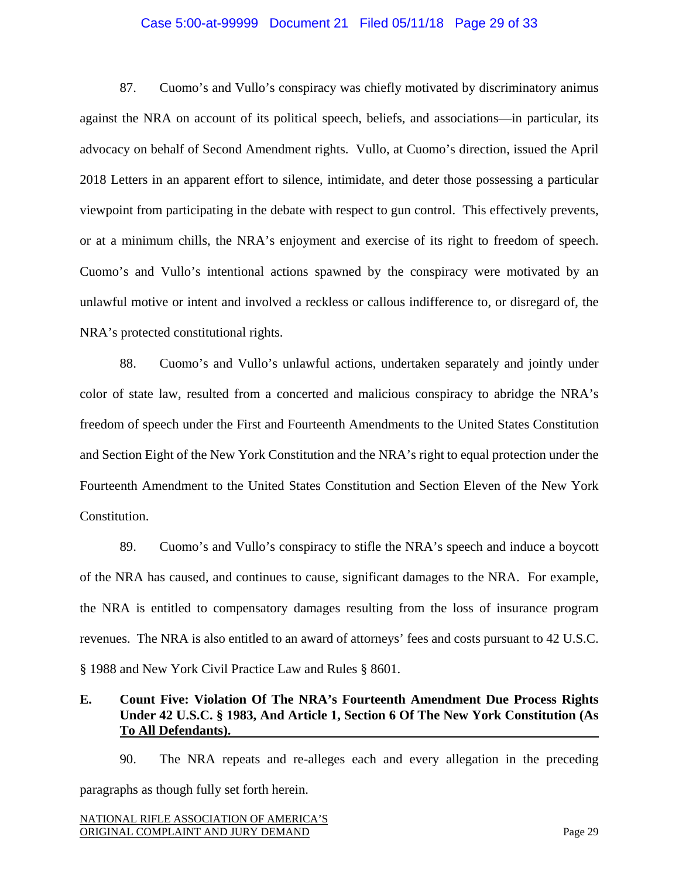### Case 5:00-at-99999 Document 21 Filed 05/11/18 Page 29 of 33

87. Cuomo's and Vullo's conspiracy was chiefly motivated by discriminatory animus against the NRA on account of its political speech, beliefs, and associations—in particular, its advocacy on behalf of Second Amendment rights. Vullo, at Cuomo's direction, issued the April 2018 Letters in an apparent effort to silence, intimidate, and deter those possessing a particular viewpoint from participating in the debate with respect to gun control. This effectively prevents, or at a minimum chills, the NRA's enjoyment and exercise of its right to freedom of speech. Cuomo's and Vullo's intentional actions spawned by the conspiracy were motivated by an unlawful motive or intent and involved a reckless or callous indifference to, or disregard of, the NRA's protected constitutional rights.

88. Cuomo's and Vullo's unlawful actions, undertaken separately and jointly under color of state law, resulted from a concerted and malicious conspiracy to abridge the NRA's freedom of speech under the First and Fourteenth Amendments to the United States Constitution and Section Eight of the New York Constitution and the NRA's right to equal protection under the Fourteenth Amendment to the United States Constitution and Section Eleven of the New York Constitution.

89. Cuomo's and Vullo's conspiracy to stifle the NRA's speech and induce a boycott of the NRA has caused, and continues to cause, significant damages to the NRA. For example, the NRA is entitled to compensatory damages resulting from the loss of insurance program revenues. The NRA is also entitled to an award of attorneys' fees and costs pursuant to 42 U.S.C. § 1988 and New York Civil Practice Law and Rules § 8601.

# **E. Count Five: Violation Of The NRA's Fourteenth Amendment Due Process Rights Under 42 U.S.C. § 1983, And Article 1, Section 6 Of The New York Constitution (As To All Defendants).**

90. The NRA repeats and re-alleges each and every allegation in the preceding paragraphs as though fully set forth herein.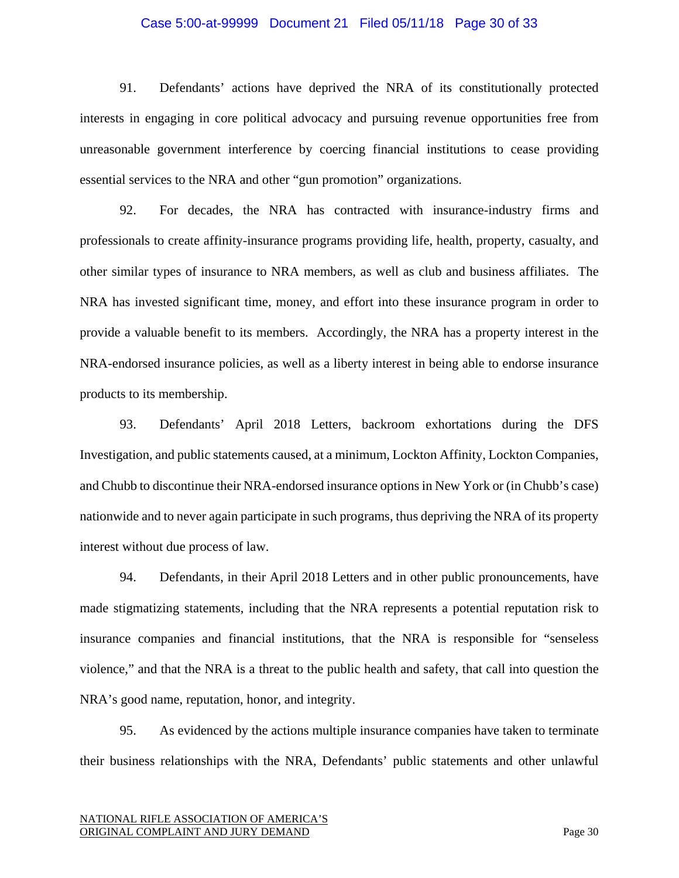#### Case 5:00-at-99999 Document 21 Filed 05/11/18 Page 30 of 33

91. Defendants' actions have deprived the NRA of its constitutionally protected interests in engaging in core political advocacy and pursuing revenue opportunities free from unreasonable government interference by coercing financial institutions to cease providing essential services to the NRA and other "gun promotion" organizations.

92. For decades, the NRA has contracted with insurance-industry firms and professionals to create affinity-insurance programs providing life, health, property, casualty, and other similar types of insurance to NRA members, as well as club and business affiliates. The NRA has invested significant time, money, and effort into these insurance program in order to provide a valuable benefit to its members. Accordingly, the NRA has a property interest in the NRA-endorsed insurance policies, as well as a liberty interest in being able to endorse insurance products to its membership.

93. Defendants' April 2018 Letters, backroom exhortations during the DFS Investigation, and public statements caused, at a minimum, Lockton Affinity, Lockton Companies, and Chubb to discontinue their NRA-endorsed insurance options in New York or (in Chubb's case) nationwide and to never again participate in such programs, thus depriving the NRA of its property interest without due process of law.

94. Defendants, in their April 2018 Letters and in other public pronouncements, have made stigmatizing statements, including that the NRA represents a potential reputation risk to insurance companies and financial institutions, that the NRA is responsible for "senseless violence," and that the NRA is a threat to the public health and safety, that call into question the NRA's good name, reputation, honor, and integrity.

95. As evidenced by the actions multiple insurance companies have taken to terminate their business relationships with the NRA, Defendants' public statements and other unlawful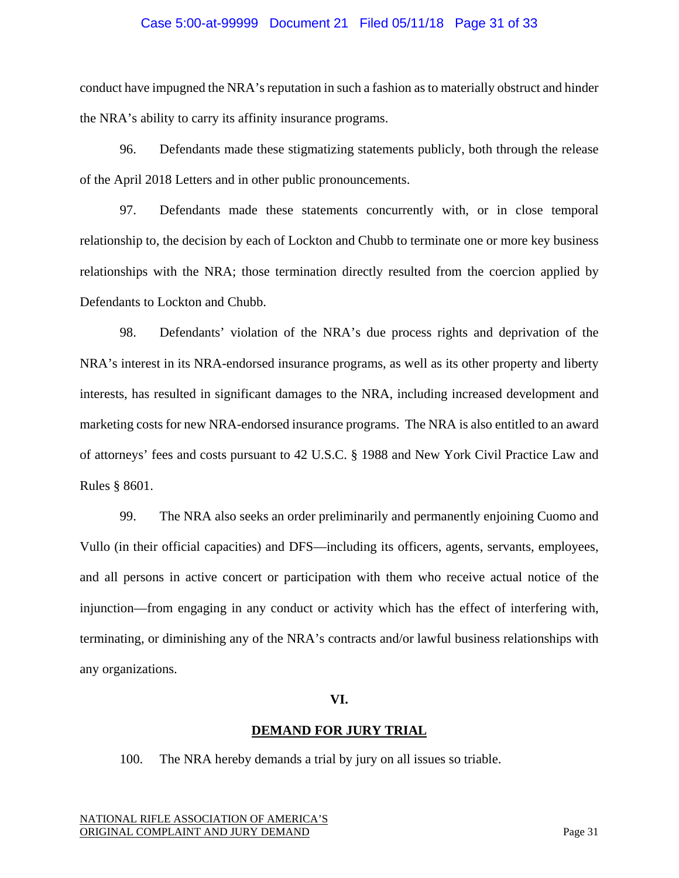### Case 5:00-at-99999 Document 21 Filed 05/11/18 Page 31 of 33

conduct have impugned the NRA's reputation in such a fashion as to materially obstruct and hinder the NRA's ability to carry its affinity insurance programs.

96. Defendants made these stigmatizing statements publicly, both through the release of the April 2018 Letters and in other public pronouncements.

97. Defendants made these statements concurrently with, or in close temporal relationship to, the decision by each of Lockton and Chubb to terminate one or more key business relationships with the NRA; those termination directly resulted from the coercion applied by Defendants to Lockton and Chubb.

98. Defendants' violation of the NRA's due process rights and deprivation of the NRA's interest in its NRA-endorsed insurance programs, as well as its other property and liberty interests, has resulted in significant damages to the NRA, including increased development and marketing costs for new NRA-endorsed insurance programs. The NRA is also entitled to an award of attorneys' fees and costs pursuant to 42 U.S.C. § 1988 and New York Civil Practice Law and Rules § 8601.

99. The NRA also seeks an order preliminarily and permanently enjoining Cuomo and Vullo (in their official capacities) and DFS—including its officers, agents, servants, employees, and all persons in active concert or participation with them who receive actual notice of the injunction—from engaging in any conduct or activity which has the effect of interfering with, terminating, or diminishing any of the NRA's contracts and/or lawful business relationships with any organizations.

#### **VI.**

#### **DEMAND FOR JURY TRIAL**

100. The NRA hereby demands a trial by jury on all issues so triable.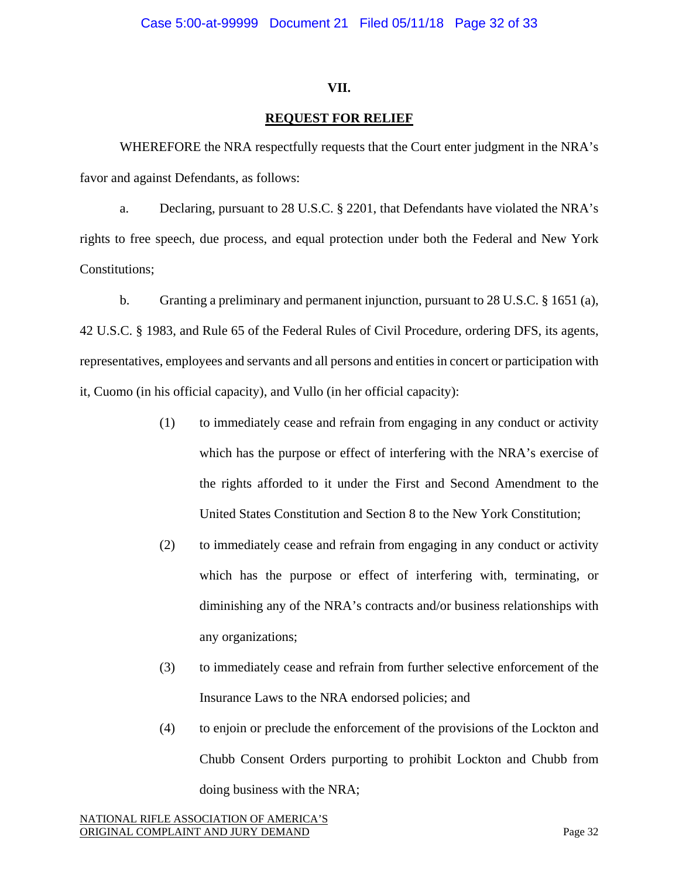### **VII.**

### **REQUEST FOR RELIEF**

WHEREFORE the NRA respectfully requests that the Court enter judgment in the NRA's favor and against Defendants, as follows:

a. Declaring, pursuant to 28 U.S.C. § 2201, that Defendants have violated the NRA's rights to free speech, due process, and equal protection under both the Federal and New York Constitutions;

b. Granting a preliminary and permanent injunction, pursuant to 28 U.S.C. § 1651 (a), 42 U.S.C. § 1983, and Rule 65 of the Federal Rules of Civil Procedure, ordering DFS, its agents, representatives, employees and servants and all persons and entities in concert or participation with it, Cuomo (in his official capacity), and Vullo (in her official capacity):

- (1) to immediately cease and refrain from engaging in any conduct or activity which has the purpose or effect of interfering with the NRA's exercise of the rights afforded to it under the First and Second Amendment to the United States Constitution and Section 8 to the New York Constitution;
- (2) to immediately cease and refrain from engaging in any conduct or activity which has the purpose or effect of interfering with, terminating, or diminishing any of the NRA's contracts and/or business relationships with any organizations;
- (3) to immediately cease and refrain from further selective enforcement of the Insurance Laws to the NRA endorsed policies; and
- (4) to enjoin or preclude the enforcement of the provisions of the Lockton and Chubb Consent Orders purporting to prohibit Lockton and Chubb from doing business with the NRA;